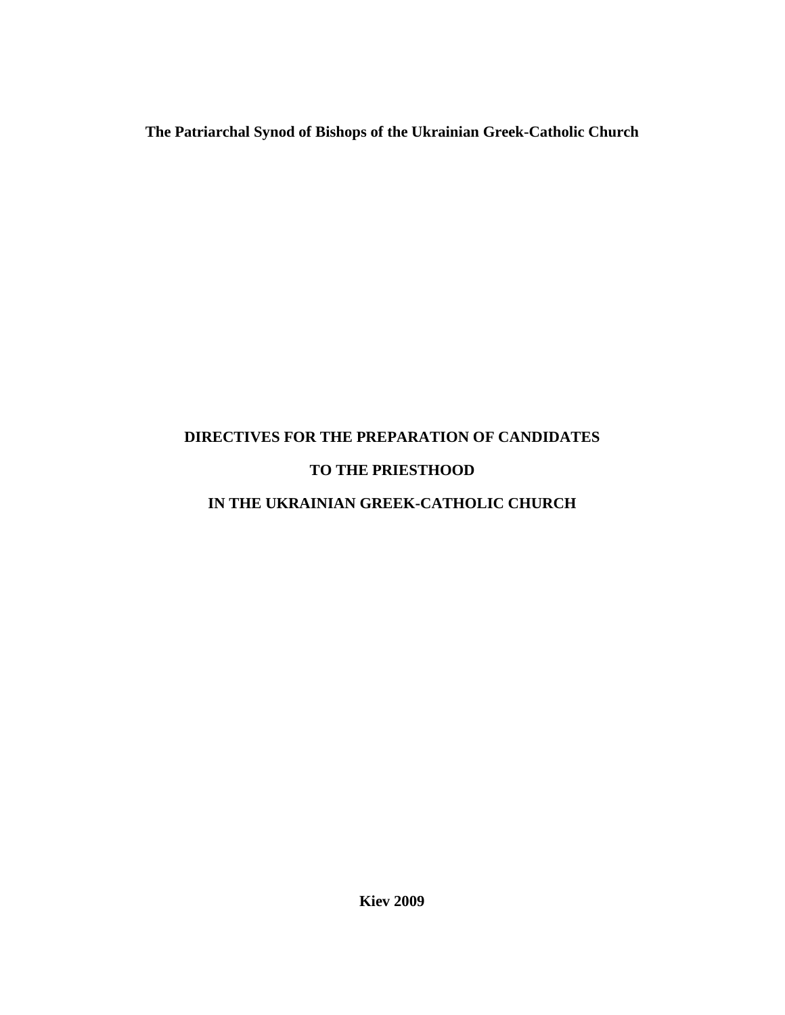# **The Patriarchal Synod of Bishops of the Ukrainian Greek-Catholic Church**

# **DIRECTIVES FOR THE PREPARATION OF CANDIDATES TO THE PRIESTHOOD**

# **IN THE UKRAINIAN GREEK-CATHOLIC CHURCH**

**Kiev 2009**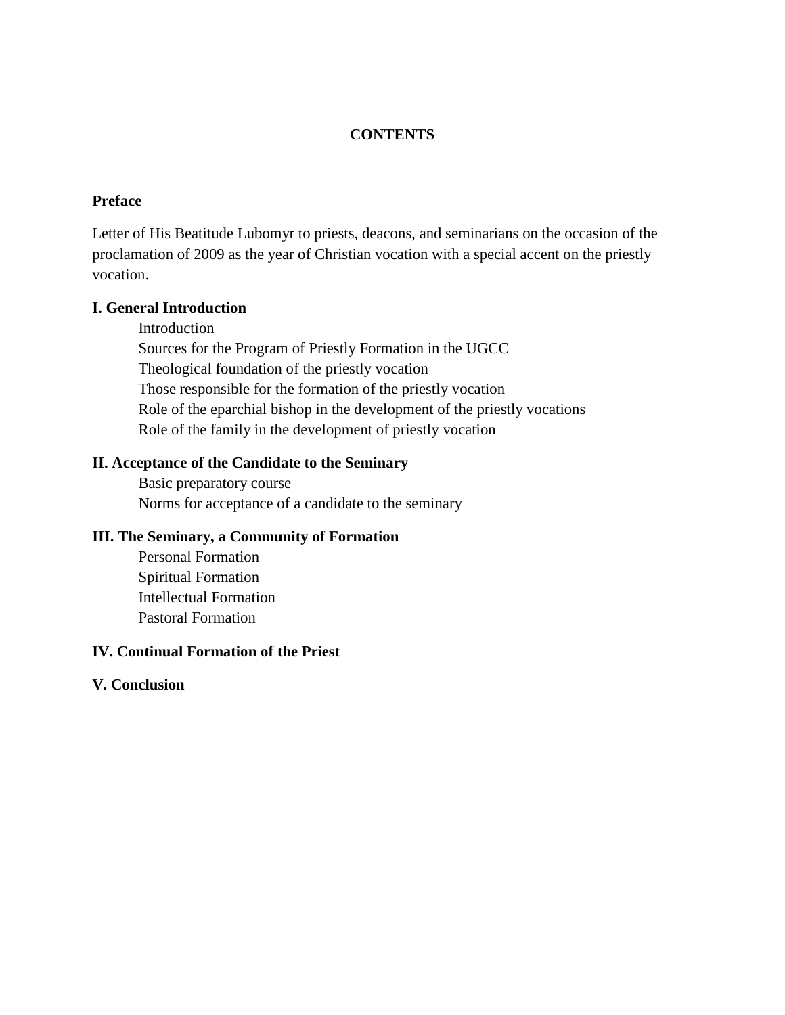## **CONTENTS**

#### **Preface**

Letter of His Beatitude Lubomyr to priests, deacons, and seminarians on the occasion of the proclamation of 2009 as the year of Christian vocation with a special accent on the priestly vocation.

#### **I. General Introduction**

Introduction Sources for the Program of Priestly Formation in the UGCC Theological foundation of the priestly vocation Those responsible for the formation of the priestly vocation Role of the eparchial bishop in the development of the priestly vocations Role of the family in the development of priestly vocation

#### **II. Acceptance of the Candidate to the Seminary**

Basic preparatory course Norms for acceptance of a candidate to the seminary

## **III. The Seminary, a Community of Formation**

Personal Formation Spiritual Formation Intellectual Formation Pastoral Formation

#### **IV. Continual Formation of the Priest**

#### **V. Conclusion**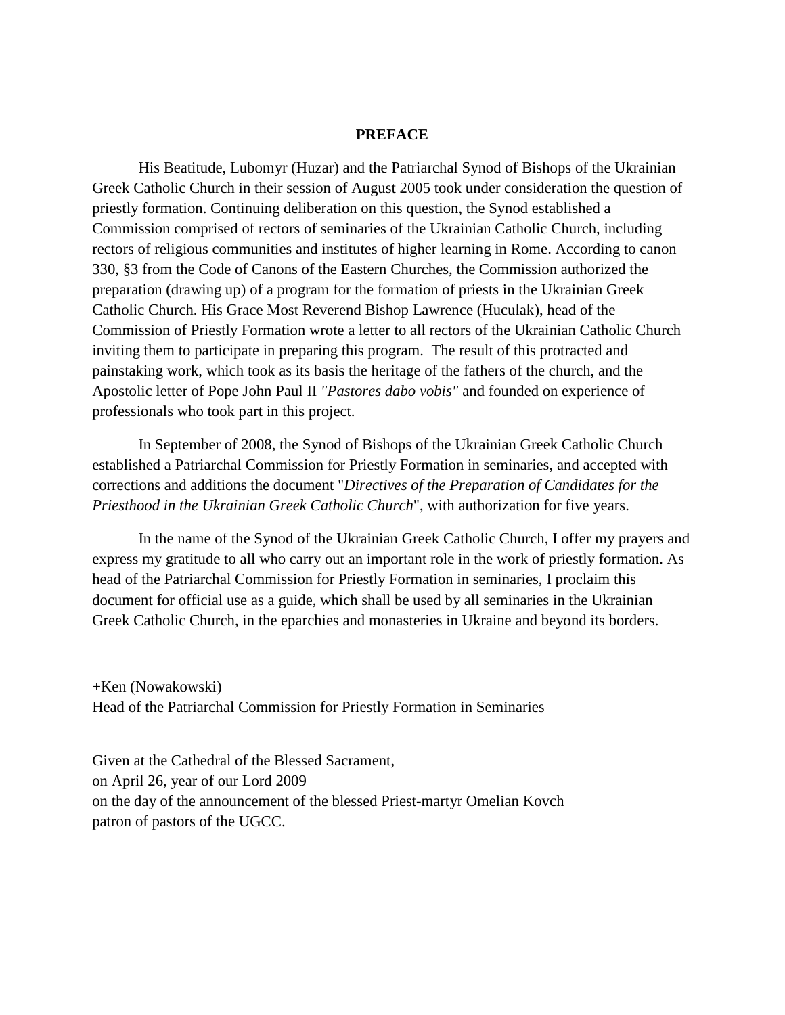#### **PREFACE**

His Beatitude, Lubomyr (Huzar) and the Patriarchal Synod of Bishops of the Ukrainian Greek Catholic Church in their session of August 2005 took under consideration the question of priestly formation. Continuing deliberation on this question, the Synod established a Commission comprised of rectors of seminaries of the Ukrainian Catholic Church, including rectors of religious communities and institutes of higher learning in Rome. According to canon 330, §3 from the Code of Canons of the Eastern Churches, the Commission authorized the preparation (drawing up) of a program for the formation of priests in the Ukrainian Greek Catholic Church. His Grace Most Reverend Bishop Lawrence (Huculak), head of the Commission of Priestly Formation wrote a letter to all rectors of the Ukrainian Catholic Church inviting them to participate in preparing this program. The result of this protracted and painstaking work, which took as its basis the heritage of the fathers of the church, and the Apostolic letter of Pope John Paul II *"Pastores dabo vobis"* and founded on experience of professionals who took part in this project.

In September of 2008, the Synod of Bishops of the Ukrainian Greek Catholic Church established a Patriarchal Commission for Priestly Formation in seminaries, and accepted with corrections and additions the document "*Directives of the Preparation of Candidates for the Priesthood in the Ukrainian Greek Catholic Church*", with authorization for five years.

In the name of the Synod of the Ukrainian Greek Catholic Church, I offer my prayers and express my gratitude to all who carry out an important role in the work of priestly formation. As head of the Patriarchal Commission for Priestly Formation in seminaries, I proclaim this document for official use as a guide, which shall be used by all seminaries in the Ukrainian Greek Catholic Church, in the eparchies and monasteries in Ukraine and beyond its borders.

+Ken (Nowakowski) Head of the Patriarchal Commission for Priestly Formation in Seminaries

Given at the Cathedral of the Blessed Sacrament, on April 26, year of our Lord 2009 on the day of the announcement of the blessed Priest-martyr Omelian Kovch patron of pastors of the UGCC.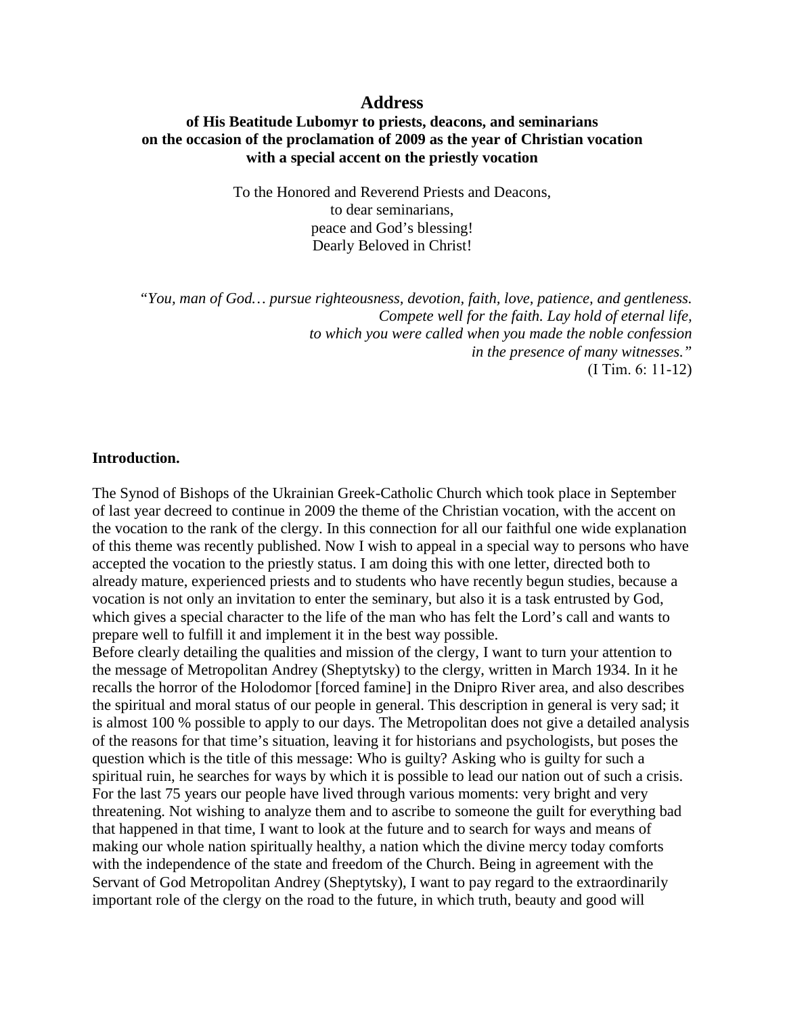#### **Address**

#### **of His Beatitude Lubomyr to priests, deacons, and seminarians on the occasion of the proclamation of 2009 as the year of Christian vocation with a special accent on the priestly vocation**

To the Honored and Reverend Priests and Deacons, to dear seminarians, peace and God's blessing! Dearly Beloved in Christ!

*"You, man of God… pursue righteousness, devotion, faith, love, patience, and gentleness. Compete well for the faith. Lay hold of eternal life, to which you were called when you made the noble confession in the presence of many witnesses."* (І Tim. 6: 11-12)

#### **Introduction.**

The Synod of Bishops of the Ukrainian Greek-Catholic Church which took place in September of last year decreed to continue in 2009 the theme of the Christian vocation, with the accent on the vocation to the rank of the clergy. In this connection for all our faithful one wide explanation of this theme was recently published. Now I wish to appeal in a special way to persons who have accepted the vocation to the priestly status. I am doing this with one letter, directed both to already mature, experienced priests and to students who have recently begun studies, because a vocation is not only an invitation to enter the seminary, but also it is a task entrusted by God, which gives a special character to the life of the man who has felt the Lord's call and wants to prepare well to fulfill it and implement it in the best way possible.

Before clearly detailing the qualities and mission of the clergy, I want to turn your attention to the message of Metropolitan Andrey (Sheptytsky) to the clergy, written in March 1934. In it he recalls the horror of the Holodomor [forced famine] in the Dnipro River area, and also describes the spiritual and moral status of our people in general. This description in general is very sad; it is almost 100 % possible to apply to our days. The Metropolitan does not give a detailed analysis of the reasons for that time's situation, leaving it for historians and psychologists, but poses the question which is the title of this message: Who is guilty? Asking who is guilty for such a spiritual ruin, he searches for ways by which it is possible to lead our nation out of such a crisis. For the last 75 years our people have lived through various moments: very bright and very threatening. Not wishing to analyze them and to ascribe to someone the guilt for everything bad that happened in that time, I want to look at the future and to search for ways and means of making our whole nation spiritually healthy, a nation which the divine mercy today comforts with the independence of the state and freedom of the Church. Being in agreement with the Servant of God Metropolitan Andrey (Sheptytsky), I want to pay regard to the extraordinarily important role of the clergy on the road to the future, in which truth, beauty and good will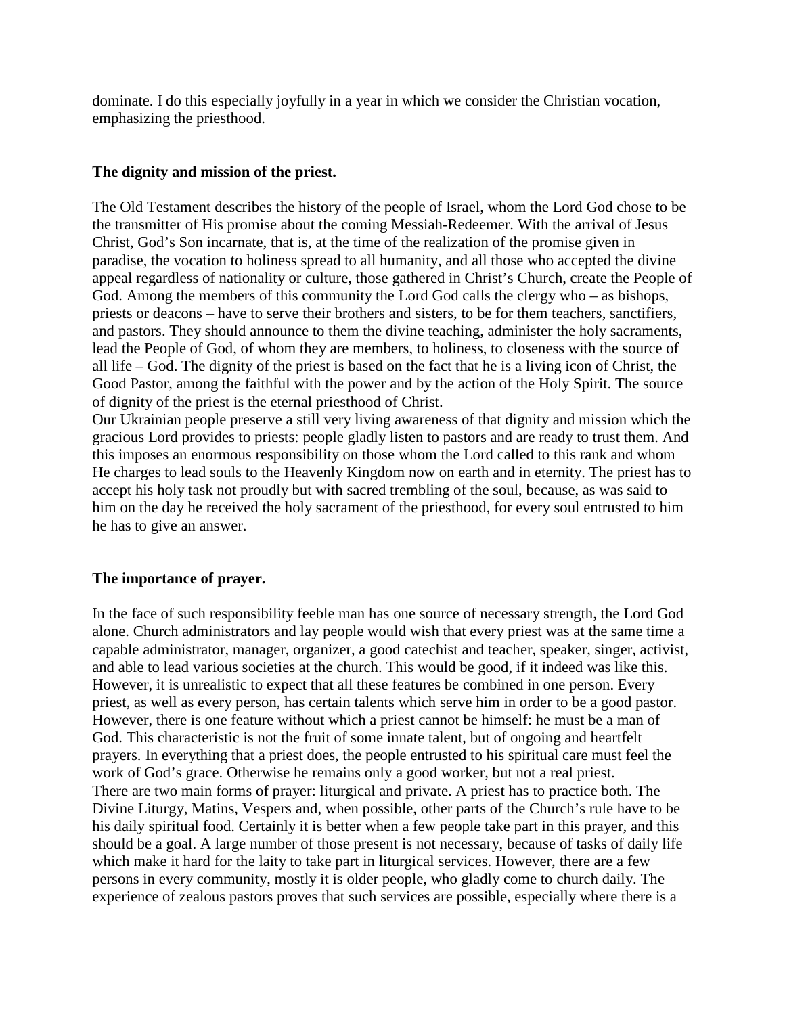dominate. I do this especially joyfully in a year in which we consider the Christian vocation, emphasizing the priesthood.

## **The dignity and mission of the priest.**

The Old Testament describes the history of the people of Israel, whom the Lord God chose to be the transmitter of His promise about the coming Messiah-Redeemer. With the arrival of Jesus Christ, God's Son incarnate, that is, at the time of the realization of the promise given in paradise, the vocation to holiness spread to all humanity, and all those who accepted the divine appeal regardless of nationality or culture, those gathered in Christ's Church, create the People of God. Among the members of this community the Lord God calls the clergy who – as bishops, priests or deacons – have to serve their brothers and sisters, to be for them teachers, sanctifiers, and pastors. They should announce to them the divine teaching, administer the holy sacraments, lead the People of God, of whom they are members, to holiness, to closeness with the source of all life – God. The dignity of the priest is based on the fact that he is a living icon of Christ, the Good Pastor, among the faithful with the power and by the action of the Holy Spirit. The source of dignity of the priest is the eternal priesthood of Christ.

Our Ukrainian people preserve a still very living awareness of that dignity and mission which the gracious Lord provides to priests: people gladly listen to pastors and are ready to trust them. And this imposes an enormous responsibility on those whom the Lord called to this rank and whom He charges to lead souls to the Heavenly Kingdom now on earth and in eternity. The priest has to accept his holy task not proudly but with sacred trembling of the soul, because, as was said to him on the day he received the holy sacrament of the priesthood, for every soul entrusted to him he has to give an answer.

# **The importance of prayer.**

In the face of such responsibility feeble man has one source of necessary strength, the Lord God alone. Church administrators and lay people would wish that every priest was at the same time a capable administrator, manager, organizer, a good catechist and teacher, speaker, singer, activist, and able to lead various societies at the church. This would be good, if it indeed was like this. However, it is unrealistic to expect that all these features be combined in one person. Every priest, as well as every person, has certain talents which serve him in order to be a good pastor. However, there is one feature without which a priest cannot be himself: he must be a man of God. This characteristic is not the fruit of some innate talent, but of ongoing and heartfelt prayers. In everything that a priest does, the people entrusted to his spiritual care must feel the work of God's grace. Otherwise he remains only a good worker, but not a real priest. There are two main forms of prayer: liturgical and private. A priest has to practice both. The Divine Liturgy, Matins, Vespers and, when possible, other parts of the Church's rule have to be his daily spiritual food. Certainly it is better when a few people take part in this prayer, and this should be a goal. A large number of those present is not necessary, because of tasks of daily life which make it hard for the laity to take part in liturgical services. However, there are a few persons in every community, mostly it is older people, who gladly come to church daily. The experience of zealous pastors proves that such services are possible, especially where there is a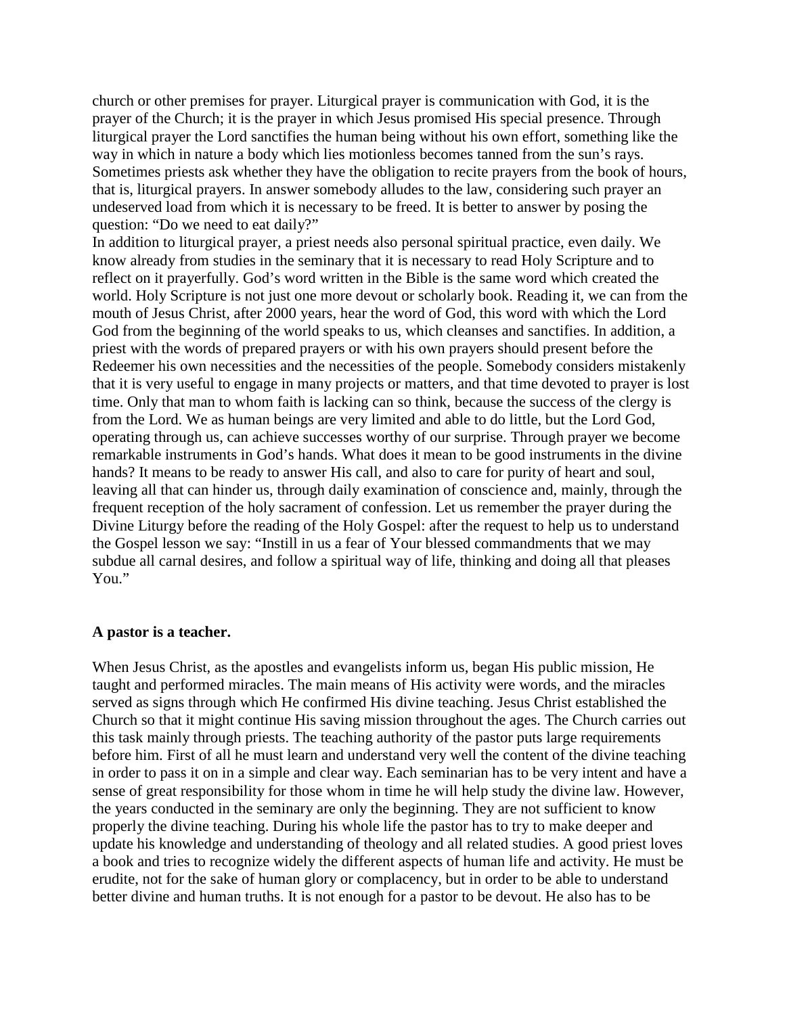church or other premises for prayer. Liturgical prayer is communication with God, it is the prayer of the Church; it is the prayer in which Jesus promised His special presence. Through liturgical prayer the Lord sanctifies the human being without his own effort, something like the way in which in nature a body which lies motionless becomes tanned from the sun's rays. Sometimes priests ask whether they have the obligation to recite prayers from the book of hours, that is, liturgical prayers. In answer somebody alludes to the law, considering such prayer an undeserved load from which it is necessary to be freed. It is better to answer by posing the question: "Do we need to eat daily?"

In addition to liturgical prayer, a priest needs also personal spiritual practice, even daily. We know already from studies in the seminary that it is necessary to read Holy Scripture and to reflect on it prayerfully. God's word written in the Bible is the same word which created the world. Holy Scripture is not just one more devout or scholarly book. Reading it, we can from the mouth of Jesus Christ, after 2000 years, hear the word of God, this word with which the Lord God from the beginning of the world speaks to us, which cleanses and sanctifies. In addition, a priest with the words of prepared prayers or with his own prayers should present before the Redeemer his own necessities and the necessities of the people. Somebody considers mistakenly that it is very useful to engage in many projects or matters, and that time devoted to prayer is lost time. Only that man to whom faith is lacking can so think, because the success of the clergy is from the Lord. We as human beings are very limited and able to do little, but the Lord God, operating through us, can achieve successes worthy of our surprise. Through prayer we become remarkable instruments in God's hands. What does it mean to be good instruments in the divine hands? It means to be ready to answer His call, and also to care for purity of heart and soul, leaving all that can hinder us, through daily examination of conscience and, mainly, through the frequent reception of the holy sacrament of confession. Let us remember the prayer during the Divine Liturgy before the reading of the Holy Gospel: after the request to help us to understand the Gospel lesson we say: "Instill in us a fear of Your blessed commandments that we may subdue all carnal desires, and follow a spiritual way of life, thinking and doing all that pleases You."

#### **A pastor is a teacher.**

When Jesus Christ, as the apostles and evangelists inform us, began His public mission, He taught and performed miracles. The main means of His activity were words, and the miracles served as signs through which He confirmed His divine teaching. Jesus Christ established the Church so that it might continue His saving mission throughout the ages. The Church carries out this task mainly through priests. The teaching authority of the pastor puts large requirements before him. First of all he must learn and understand very well the content of the divine teaching in order to pass it on in a simple and clear way. Each seminarian has to be very intent and have a sense of great responsibility for those whom in time he will help study the divine law. However, the years conducted in the seminary are only the beginning. They are not sufficient to know properly the divine teaching. During his whole life the pastor has to try to make deeper and update his knowledge and understanding of theology and all related studies. A good priest loves a book and tries to recognize widely the different aspects of human life and activity. He must be erudite, not for the sake of human glory or complacency, but in order to be able to understand better divine and human truths. It is not enough for a pastor to be devout. He also has to be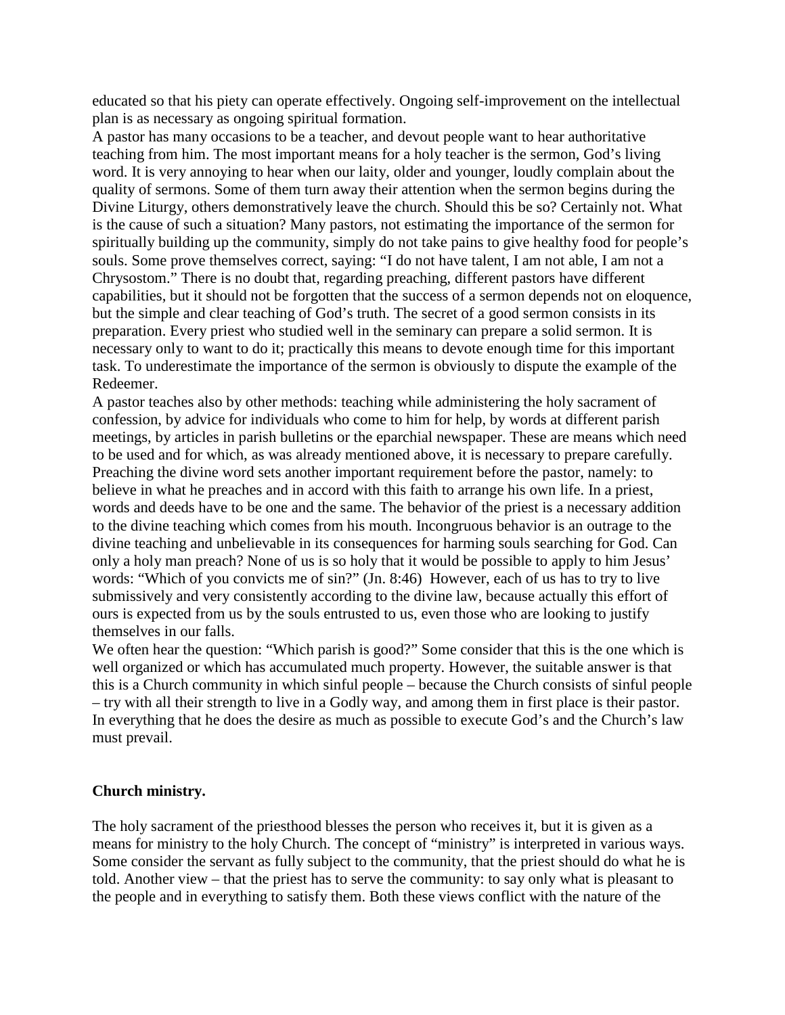educated so that his piety can operate effectively. Ongoing self-improvement on the intellectual plan is as necessary as ongoing spiritual formation.

A pastor has many occasions to be a teacher, and devout people want to hear authoritative teaching from him. The most important means for a holy teacher is the sermon, God's living word. It is very annoying to hear when our laity, older and younger, loudly complain about the quality of sermons. Some of them turn away their attention when the sermon begins during the Divine Liturgy, others demonstratively leave the church. Should this be so? Certainly not. What is the cause of such a situation? Many pastors, not estimating the importance of the sermon for spiritually building up the community, simply do not take pains to give healthy food for people's souls. Some prove themselves correct, saying: "I do not have talent, I am not able, I am not a Chrysostom." There is no doubt that, regarding preaching, different pastors have different capabilities, but it should not be forgotten that the success of a sermon depends not on eloquence, but the simple and clear teaching of God's truth. The secret of a good sermon consists in its preparation. Every priest who studied well in the seminary can prepare a solid sermon. It is necessary only to want to do it; practically this means to devote enough time for this important task. To underestimate the importance of the sermon is obviously to dispute the example of the Redeemer.

A pastor teaches also by other methods: teaching while administering the holy sacrament of confession, by advice for individuals who come to him for help, by words at different parish meetings, by articles in parish bulletins or the eparchial newspaper. These are means which need to be used and for which, as was already mentioned above, it is necessary to prepare carefully. Preaching the divine word sets another important requirement before the pastor, namely: to believe in what he preaches and in accord with this faith to arrange his own life. In a priest, words and deeds have to be one and the same. The behavior of the priest is a necessary addition to the divine teaching which comes from his mouth. Incongruous behavior is an outrage to the divine teaching and unbelievable in its consequences for harming souls searching for God. Can only a holy man preach? None of us is so holy that it would be possible to apply to him Jesus' words: "Which of you convicts me of sin?" (Jn. 8:46) However, each of us has to try to live submissively and very consistently according to the divine law, because actually this effort of ours is expected from us by the souls entrusted to us, even those who are looking to justify themselves in our falls.

We often hear the question: "Which parish is good?" Some consider that this is the one which is well organized or which has accumulated much property. However, the suitable answer is that this is a Church community in which sinful people – because the Church consists of sinful people – try with all their strength to live in a Godly way, and among them in first place is their pastor. In everything that he does the desire as much as possible to execute God's and the Church's law must prevail.

#### **Church ministry.**

The holy sacrament of the priesthood blesses the person who receives it, but it is given as a means for ministry to the holy Church. The concept of "ministry" is interpreted in various ways. Some consider the servant as fully subject to the community, that the priest should do what he is told. Another view – that the priest has to serve the community: to say only what is pleasant to the people and in everything to satisfy them. Both these views conflict with the nature of the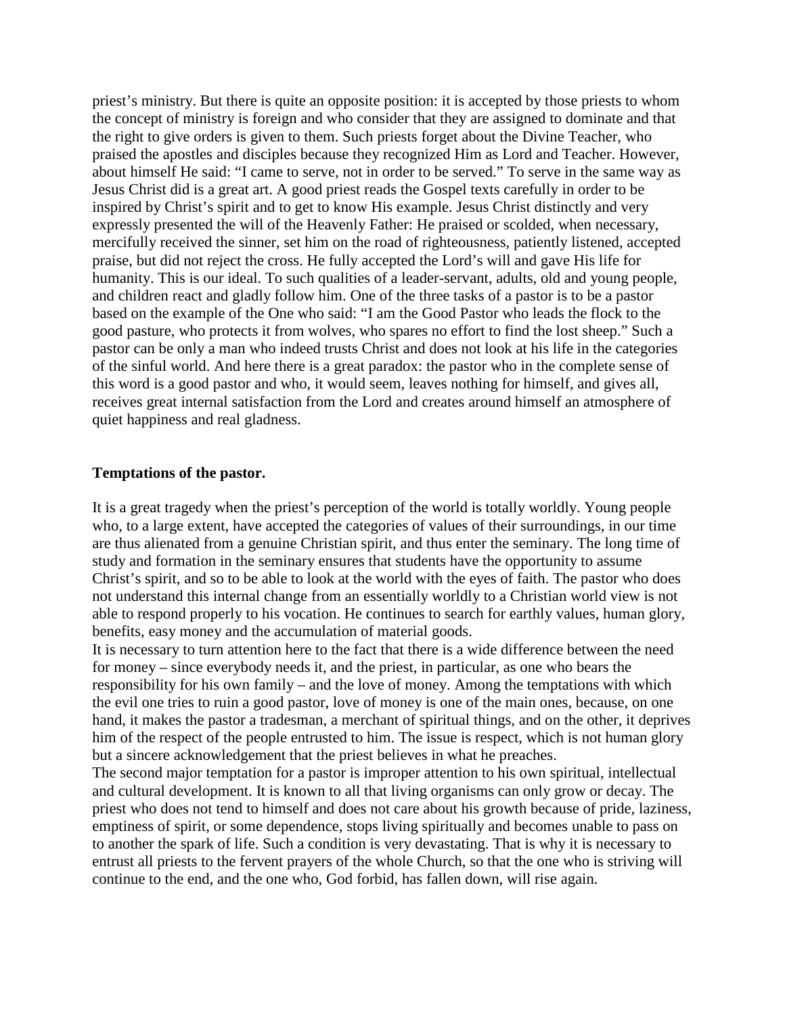priest's ministry. But there is quite an opposite position: it is accepted by those priests to whom the concept of ministry is foreign and who consider that they are assigned to dominate and that the right to give orders is given to them. Such priests forget about the Divine Teacher, who praised the apostles and disciples because they recognized Him as Lord and Teacher. However, about himself He said: "I came to serve, not in order to be served." To serve in the same way as Jesus Christ did is a great art. A good priest reads the Gospel texts carefully in order to be inspired by Christ's spirit and to get to know His example. Jesus Christ distinctly and very expressly presented the will of the Heavenly Father: He praised or scolded, when necessary, mercifully received the sinner, set him on the road of righteousness, patiently listened, accepted praise, but did not reject the cross. He fully accepted the Lord's will and gave His life for humanity. This is our ideal. To such qualities of a leader-servant, adults, old and young people, and children react and gladly follow him. One of the three tasks of a pastor is to be a pastor based on the example of the One who said: "I am the Good Pastor who leads the flock to the good pasture, who protects it from wolves, who spares no effort to find the lost sheep." Such a pastor can be only a man who indeed trusts Christ and does not look at his life in the categories of the sinful world. And here there is a great paradox: the pastor who in the complete sense of this word is a good pastor and who, it would seem, leaves nothing for himself, and gives all, receives great internal satisfaction from the Lord and creates around himself an atmosphere of quiet happiness and real gladness.

#### **Temptations of the pastor.**

It is a great tragedy when the priest's perception of the world is totally worldly. Young people who, to a large extent, have accepted the categories of values of their surroundings, in our time are thus alienated from a genuine Christian spirit, and thus enter the seminary. The long time of study and formation in the seminary ensures that students have the opportunity to assume Christ's spirit, and so to be able to look at the world with the eyes of faith. The pastor who does not understand this internal change from an essentially worldly to a Christian world view is not able to respond properly to his vocation. He continues to search for earthly values, human glory, benefits, easy money and the accumulation of material goods.

It is necessary to turn attention here to the fact that there is a wide difference between the need for money – since everybody needs it, and the priest, in particular, as one who bears the responsibility for his own family – and the love of money. Among the temptations with which the evil one tries to ruin a good pastor, love of money is one of the main ones, because, on one hand, it makes the pastor a tradesman, a merchant of spiritual things, and on the other, it deprives him of the respect of the people entrusted to him. The issue is respect, which is not human glory but a sincere acknowledgement that the priest believes in what he preaches.

The second major temptation for a pastor is improper attention to his own spiritual, intellectual and cultural development. It is known to all that living organisms can only grow or decay. The priest who does not tend to himself and does not care about his growth because of pride, laziness, emptiness of spirit, or some dependence, stops living spiritually and becomes unable to pass on to another the spark of life. Such a condition is very devastating. That is why it is necessary to entrust all priests to the fervent prayers of the whole Church, so that the one who is striving will continue to the end, and the one who, God forbid, has fallen down, will rise again.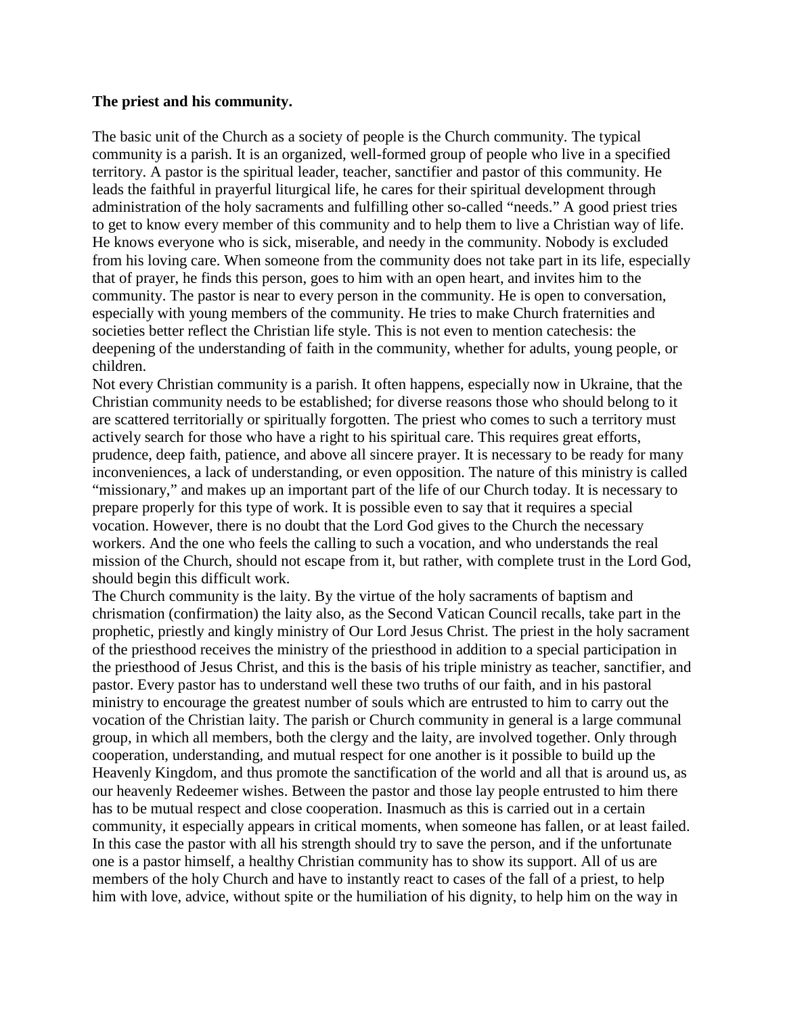#### **The priest and his community.**

The basic unit of the Church as a society of people is the Church community. The typical community is a parish. It is an organized, well-formed group of people who live in a specified territory. A pastor is the spiritual leader, teacher, sanctifier and pastor of this community. He leads the faithful in prayerful liturgical life, he cares for their spiritual development through administration of the holy sacraments and fulfilling other so-called "needs." A good priest tries to get to know every member of this community and to help them to live a Christian way of life. He knows everyone who is sick, miserable, and needy in the community. Nobody is excluded from his loving care. When someone from the community does not take part in its life, especially that of prayer, he finds this person, goes to him with an open heart, and invites him to the community. The pastor is near to every person in the community. He is open to conversation, especially with young members of the community. He tries to make Church fraternities and societies better reflect the Christian life style. This is not even to mention catechesis: the deepening of the understanding of faith in the community, whether for adults, young people, or children.

Not every Christian community is a parish. It often happens, especially now in Ukraine, that the Christian community needs to be established; for diverse reasons those who should belong to it are scattered territorially or spiritually forgotten. The priest who comes to such a territory must actively search for those who have a right to his spiritual care. This requires great efforts, prudence, deep faith, patience, and above all sincere prayer. It is necessary to be ready for many inconveniences, a lack of understanding, or even opposition. The nature of this ministry is called "missionary," and makes up an important part of the life of our Church today. It is necessary to prepare properly for this type of work. It is possible even to say that it requires a special vocation. However, there is no doubt that the Lord God gives to the Church the necessary workers. And the one who feels the calling to such a vocation, and who understands the real mission of the Church, should not escape from it, but rather, with complete trust in the Lord God, should begin this difficult work.

The Church community is the laity. By the virtue of the holy sacraments of baptism and chrismation (confirmation) the laity also, as the Second Vatican Council recalls, take part in the prophetic, priestly and kingly ministry of Our Lord Jesus Christ. The priest in the holy sacrament of the priesthood receives the ministry of the priesthood in addition to a special participation in the priesthood of Jesus Christ, and this is the basis of his triple ministry as teacher, sanctifier, and pastor. Every pastor has to understand well these two truths of our faith, and in his pastoral ministry to encourage the greatest number of souls which are entrusted to him to carry out the vocation of the Christian laity. The parish or Church community in general is a large communal group, in which all members, both the clergy and the laity, are involved together. Only through cooperation, understanding, and mutual respect for one another is it possible to build up the Heavenly Kingdom, and thus promote the sanctification of the world and all that is around us, as our heavenly Redeemer wishes. Between the pastor and those lay people entrusted to him there has to be mutual respect and close cooperation. Inasmuch as this is carried out in a certain community, it especially appears in critical moments, when someone has fallen, or at least failed. In this case the pastor with all his strength should try to save the person, and if the unfortunate one is a pastor himself, a healthy Christian community has to show its support. All of us are members of the holy Church and have to instantly react to cases of the fall of a priest, to help him with love, advice, without spite or the humiliation of his dignity, to help him on the way in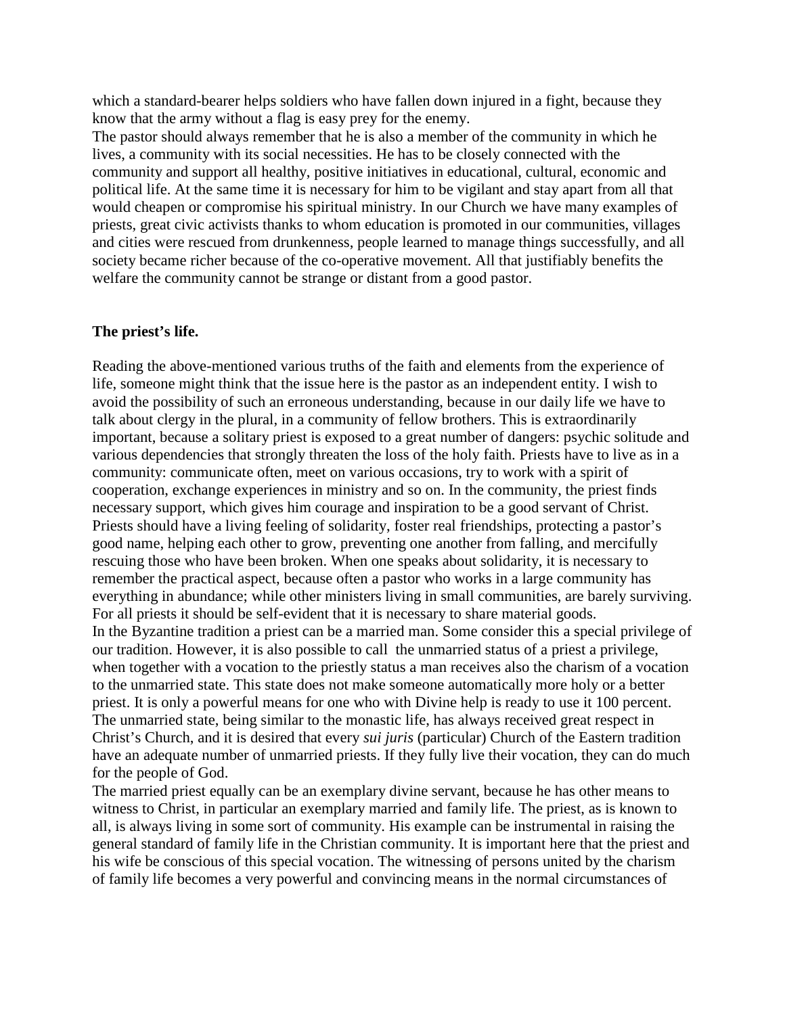which a standard-bearer helps soldiers who have fallen down injured in a fight, because they know that the army without a flag is easy prey for the enemy.

The pastor should always remember that he is also a member of the community in which he lives, a community with its social necessities. He has to be closely connected with the community and support all healthy, positive initiatives in educational, cultural, economic and political life. At the same time it is necessary for him to be vigilant and stay apart from all that would cheapen or compromise his spiritual ministry. In our Church we have many examples of priests, great civic activists thanks to whom education is promoted in our communities, villages and cities were rescued from drunkenness, people learned to manage things successfully, and all society became richer because of the co-operative movement. All that justifiably benefits the welfare the community cannot be strange or distant from a good pastor.

#### **The priest's life.**

Reading the above-mentioned various truths of the faith and elements from the experience of life, someone might think that the issue here is the pastor as an independent entity. I wish to avoid the possibility of such an erroneous understanding, because in our daily life we have to talk about clergy in the plural, in a community of fellow brothers. This is extraordinarily important, because a solitary priest is exposed to a great number of dangers: psychic solitude and various dependencies that strongly threaten the loss of the holy faith. Priests have to live as in a community: communicate often, meet on various occasions, try to work with a spirit of cooperation, exchange experiences in ministry and so on. In the community, the priest finds necessary support, which gives him courage and inspiration to be a good servant of Christ. Priests should have a living feeling of solidarity, foster real friendships, protecting a pastor's good name, helping each other to grow, preventing one another from falling, and mercifully rescuing those who have been broken. When one speaks about solidarity, it is necessary to remember the practical aspect, because often a pastor who works in a large community has everything in abundance; while other ministers living in small communities, are barely surviving. For all priests it should be self-evident that it is necessary to share material goods. In the Byzantine tradition a priest can be a married man. Some consider this a special privilege of our tradition. However, it is also possible to call the unmarried status of a priest a privilege, when together with a vocation to the priestly status a man receives also the charism of a vocation to the unmarried state. This state does not make someone automatically more holy or a better priest. It is only a powerful means for one who with Divine help is ready to use it 100 percent. The unmarried state, being similar to the monastic life, has always received great respect in Christ's Church, and it is desired that every *sui juris* (particular) Church of the Eastern tradition have an adequate number of unmarried priests. If they fully live their vocation, they can do much for the people of God.

The married priest equally can be an exemplary divine servant, because he has other means to witness to Christ, in particular an exemplary married and family life. The priest, as is known to all, is always living in some sort of community. His example can be instrumental in raising the general standard of family life in the Christian community. It is important here that the priest and his wife be conscious of this special vocation. The witnessing of persons united by the charism of family life becomes a very powerful and convincing means in the normal circumstances of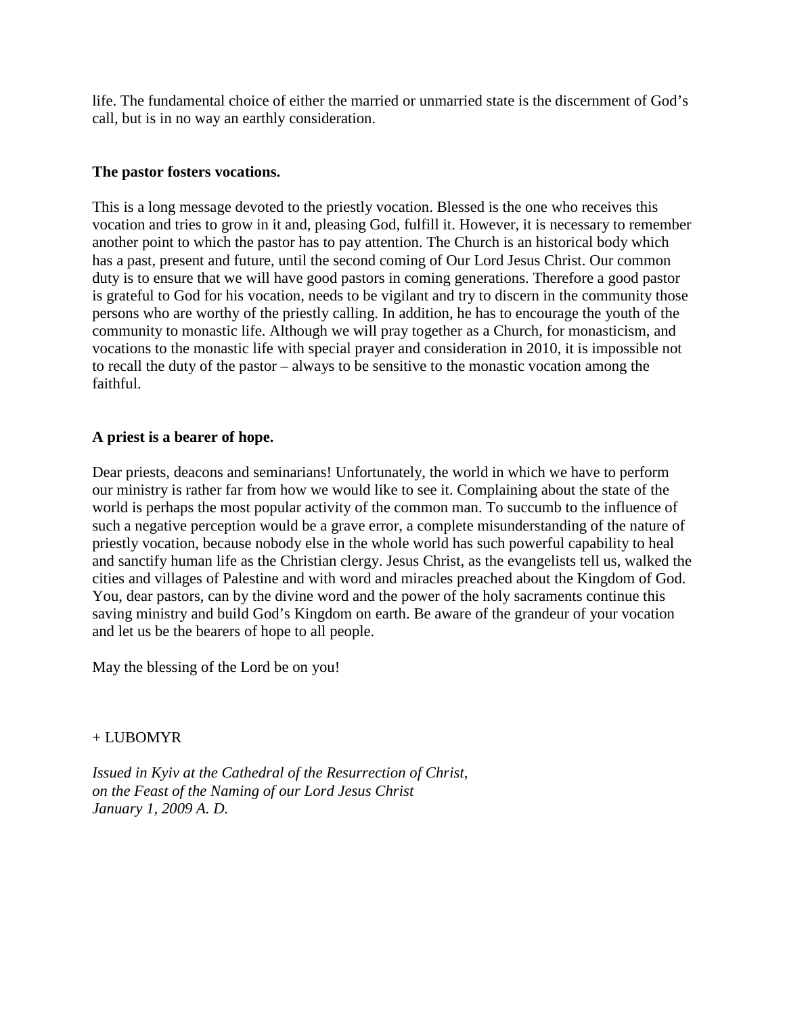life. The fundamental choice of either the married or unmarried state is the discernment of God's call, but is in no way an earthly consideration.

## **The pastor fosters vocations.**

This is a long message devoted to the priestly vocation. Blessed is the one who receives this vocation and tries to grow in it and, pleasing God, fulfill it. However, it is necessary to remember another point to which the pastor has to pay attention. The Church is an historical body which has a past, present and future, until the second coming of Our Lord Jesus Christ. Our common duty is to ensure that we will have good pastors in coming generations. Therefore a good pastor is grateful to God for his vocation, needs to be vigilant and try to discern in the community those persons who are worthy of the priestly calling. In addition, he has to encourage the youth of the community to monastic life. Although we will pray together as a Church, for monasticism, and vocations to the monastic life with special prayer and consideration in 2010, it is impossible not to recall the duty of the pastor – always to be sensitive to the monastic vocation among the faithful.

## **A priest is a bearer of hope.**

Dear priests, deacons and seminarians! Unfortunately, the world in which we have to perform our ministry is rather far from how we would like to see it. Complaining about the state of the world is perhaps the most popular activity of the common man. To succumb to the influence of such a negative perception would be a grave error, a complete misunderstanding of the nature of priestly vocation, because nobody else in the whole world has such powerful capability to heal and sanctify human life as the Christian clergy. Jesus Christ, as the evangelists tell us, walked the cities and villages of Palestine and with word and miracles preached about the Kingdom of God. You, dear pastors, can by the divine word and the power of the holy sacraments continue this saving ministry and build God's Kingdom on earth. Be aware of the grandeur of your vocation and let us be the bearers of hope to all people.

May the blessing of the Lord be on you!

#### $+$  LUBOMYR

*Issued in Kyiv at the Cathedral of the Resurrection of Christ, on the Feast of the Naming of our Lord Jesus Christ January 1, 2009 A. D.*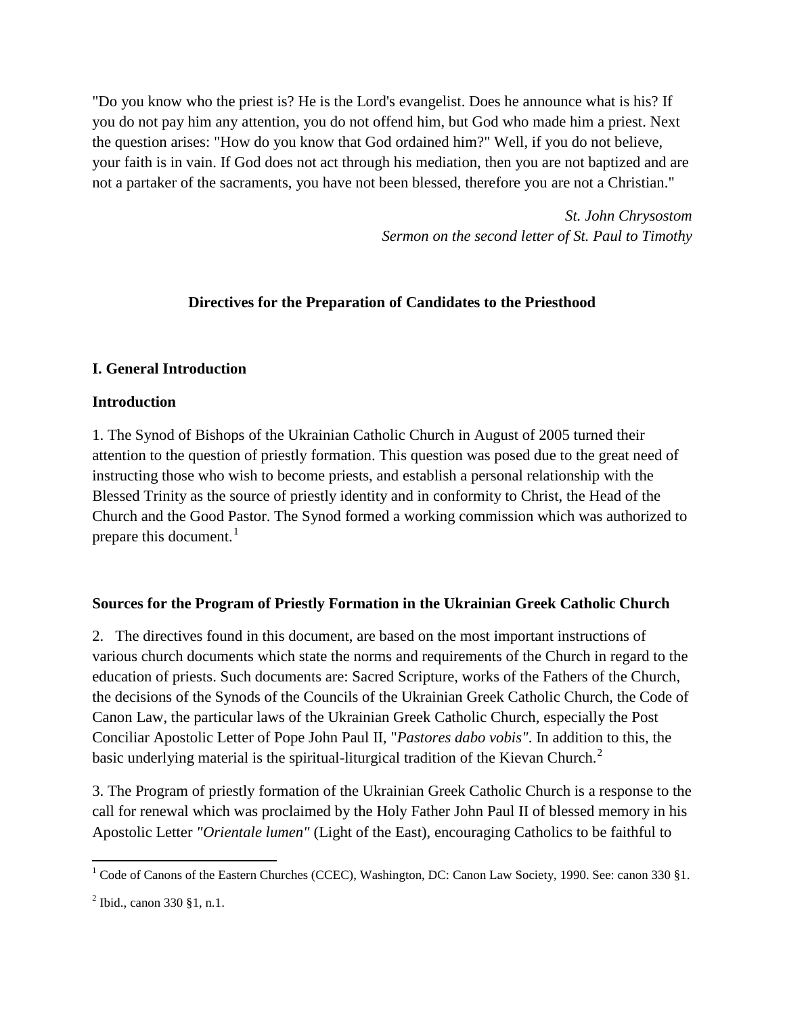"Do you know who the priest is? He is the Lord's evangelist. Does he announce what is his? If you do not pay him any attention, you do not offend him, but God who made him a priest. Next the question arises: "How do you know that God ordained him?" Well, if you do not believe, your faith is in vain. If God does not act through his mediation, then you are not baptized and are not a partaker of the sacraments, you have not been blessed, therefore you are not a Christian."

> *St. John Chrysostom Sermon on the second letter of St. Paul to Timothy*

# **Directives for the Preparation of Candidates to the Priesthood**

## **I. General Introduction**

## **Introduction**

1. The Synod of Bishops of the Ukrainian Catholic Church in August of 2005 turned their attention to the question of priestly formation. This question was posed due to the great need of instructing those who wish to become priests, and establish a personal relationship with the Blessed Trinity as the source of priestly identity and in conformity to Christ, the Head of the Church and the Good Pastor. The Synod formed a working commission which was authorized to prepare this document. $<sup>1</sup>$  $<sup>1</sup>$  $<sup>1</sup>$ </sup>

# **Sources for the Program of Priestly Formation in the Ukrainian Greek Catholic Church**

2. The directives found in this document, are based on the most important instructions of various church documents which state the norms and requirements of the Church in regard to the education of priests. Such documents are: Sacred Scripture, works of the Fathers of the Church, the decisions of the Synods of the Councils of the Ukrainian Greek Catholic Church, the Code of Canon Law, the particular laws of the Ukrainian Greek Catholic Church, especially the Post Conciliar Apostolic Letter of Pope John Paul II, "*Pastores dabo vobis"*. In addition to this, the basic underlying material is the spiritual-liturgical tradition of the Kievan Church.<sup>[2](#page-11-1)</sup>

3. The Program of priestly formation of the Ukrainian Greek Catholic Church is a response to the call for renewal which was proclaimed by the Holy Father John Paul II of blessed memory in his Apostolic Letter *"Orientale lumen"* (Light of the East), encouraging Catholics to be faithful to

l

<span id="page-11-0"></span> $1$  Code of Canons of the Eastern Churches (CCEC), Washington, DC: Canon Law Society, 1990. See: canon 330 §1.

<span id="page-11-1"></span> $^{2}$  Ibid., canon 330 §1, n.1.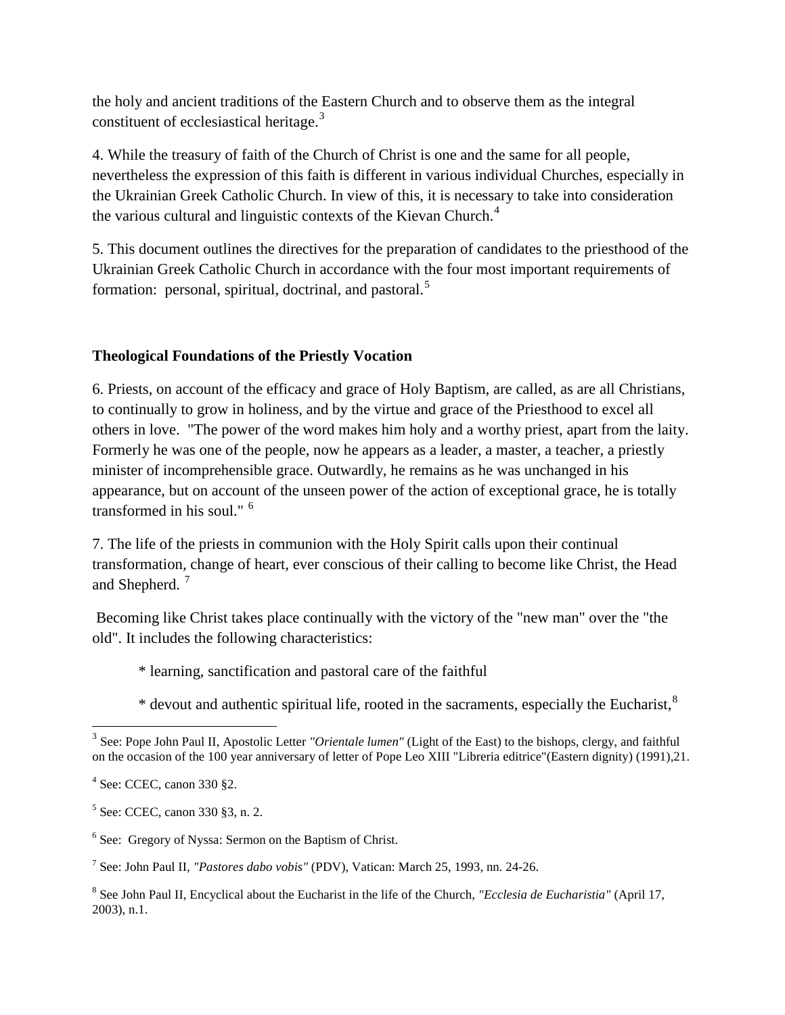the holy and ancient traditions of the Eastern Church and to observe them as the integral constituent of ecclesiastical heritage.<sup>[3](#page-12-0)</sup>

4. While the treasury of faith of the Church of Christ is one and the same for all people, nevertheless the expression of this faith is different in various individual Churches, especially in the Ukrainian Greek Catholic Church. In view of this, it is necessary to take into consideration the various cultural and linguistic contexts of the Kievan Church.<sup>[4](#page-12-1)</sup>

5. This document outlines the directives for the preparation of candidates to the priesthood of the Ukrainian Greek Catholic Church in accordance with the four most important requirements of formation: personal, spiritual, doctrinal, and pastoral.<sup>[5](#page-12-2)</sup>

# **Theological Foundations of the Priestly Vocation**

6. Priests, on account of the efficacy and grace of Holy Baptism, are called, as are all Christians, to continually to grow in holiness, and by the virtue and grace of the Priesthood to excel all others in love. "The power of the word makes him holy and a worthy priest, apart from the laity. Formerly he was one of the people, now he appears as a leader, a master, a teacher, a priestly minister of incomprehensible grace. Outwardly, he remains as he was unchanged in his appearance, but on account of the unseen power of the action of exceptional grace, he is totally transformed in his soul." [6](#page-12-3)

7. The life of the priests in communion with the Holy Spirit calls upon their continual transformation, change of heart, ever conscious of their calling to become like Christ, the Head and Shepherd.<sup>[7](#page-12-4)</sup>

Becoming like Christ takes place continually with the victory of the "new man" over the "the old". It includes the following characteristics:

\* learning, sanctification and pastoral care of the faithful

\* devout and authentic spiritual life, rooted in the sacraments, especially the Eucharist,<sup>[8](#page-12-5)</sup>

 $\overline{\phantom{a}}$ 

<span id="page-12-0"></span><sup>3</sup> See: Pope John Paul II, Apostolic Letter *"Orientale lumen"* (Light of the East) to the bishops, clergy, and faithful on the occasion of the 100 year anniversary of letter of Pope Leo XIII "Libreria editrice"(Eastern dignity) (1991),21.

<span id="page-12-1"></span><sup>4</sup> See: CCEC, canon 330 §2.

<span id="page-12-2"></span><sup>5</sup> See: CCEC, canon 330 §3, n. 2.

<span id="page-12-3"></span><sup>6</sup> See: Gregory of Nyssa: Sermon on the Baptism of Christ.

<span id="page-12-4"></span><sup>7</sup> See: John Paul II, *"Pastores dabo vobis"* (PDV), Vatican: March 25, 1993, nn. 24-26.

<span id="page-12-5"></span><sup>8</sup> See John Paul II, Encyclical about the Eucharist in the life of the Church, *"Ecclesia de Eucharistia"* (April 17, 2003), n.1.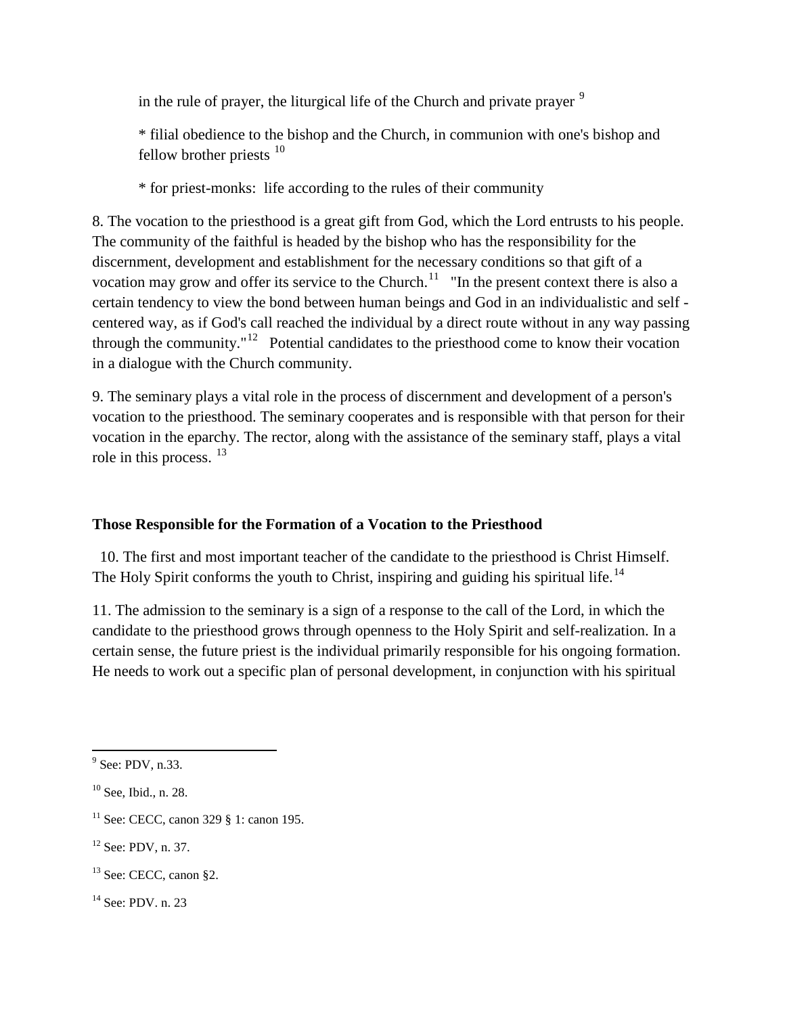in the rule of prayer, the liturgical life of the Church and private prayer  $9$ 

\* filial obedience to the bishop and the Church, in communion with one's bishop and fellow brother priests  $10$ 

\* for priest-monks: life according to the rules of their community

8. The vocation to the priesthood is a great gift from God, which the Lord entrusts to his people. The community of the faithful is headed by the bishop who has the responsibility for the discernment, development and establishment for the necessary conditions so that gift of a vocation may grow and offer its service to the Church.<sup>11</sup> "In the present context there is also a certain tendency to view the bond between human beings and God in an individualistic and self centered way, as if God's call reached the individual by a direct route without in any way passing through the community."<sup>[12](#page-13-3)</sup> Potential candidates to the priesthood come to know their vocation in a dialogue with the Church community.

9. The seminary plays a vital role in the process of discernment and development of a person's vocation to the priesthood. The seminary cooperates and is responsible with that person for their vocation in the eparchy. The rector, along with the assistance of the seminary staff, plays a vital role in this process. <sup>[13](#page-13-4)</sup>

# **Those Responsible for the Formation of a Vocation to the Priesthood**

 10. The first and most important teacher of the candidate to the priesthood is Christ Himself. The Holy Spirit conforms the youth to Christ, inspiring and guiding his spiritual life.<sup>[14](#page-13-5)</sup>

11. The admission to the seminary is a sign of a response to the call of the Lord, in which the candidate to the priesthood grows through openness to the Holy Spirit and self-realization. In a certain sense, the future priest is the individual primarily responsible for his ongoing formation. He needs to work out a specific plan of personal development, in conjunction with his spiritual

<span id="page-13-3"></span><sup>12</sup> See: PDV, n. 37.

<span id="page-13-0"></span> $\overline{\phantom{a}}$  $9^9$  See: PDV, n.33.

<span id="page-13-1"></span> $10$  See, Ibid., n. 28.

<span id="page-13-2"></span><sup>&</sup>lt;sup>11</sup> See: CECC, canon 329  $\S$  1: canon 195.

<span id="page-13-4"></span><sup>&</sup>lt;sup>13</sup> See: CECC, canon §2.

<span id="page-13-5"></span><sup>&</sup>lt;sup>14</sup> See: PDV. n. 23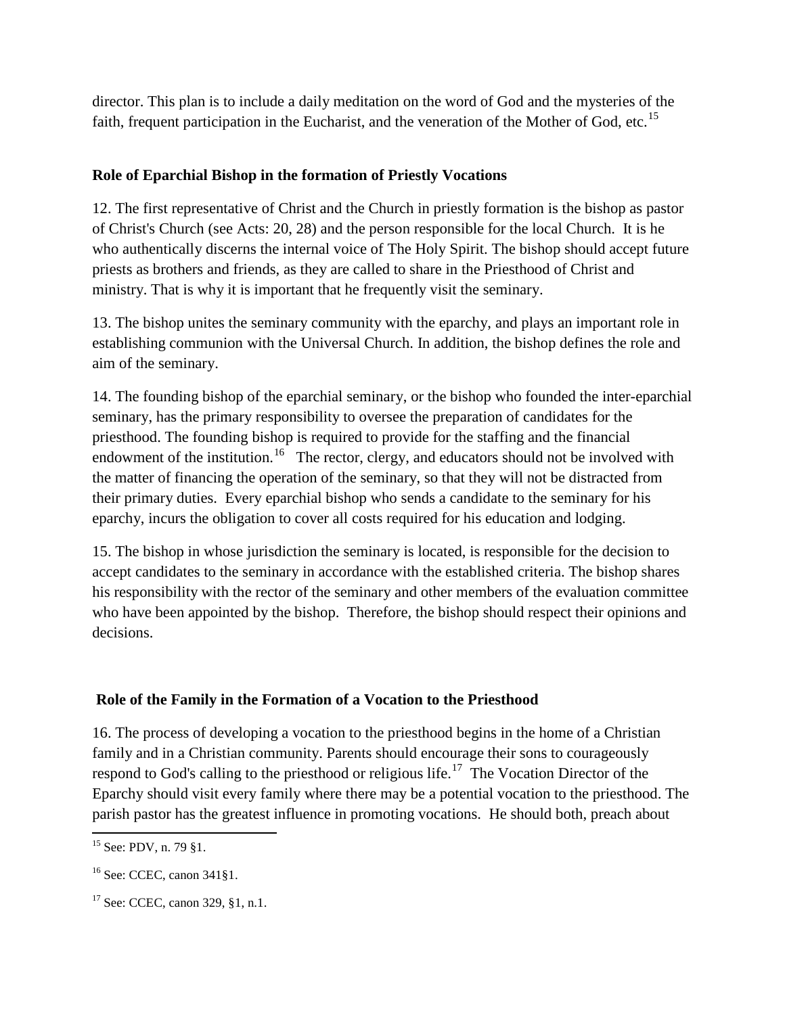director. This plan is to include a daily meditation on the word of God and the mysteries of the faith, frequent participation in the Eucharist, and the veneration of the Mother of God, etc.<sup>15</sup>

# **Role of Eparchial Bishop in the formation of Priestly Vocations**

12. The first representative of Christ and the Church in priestly formation is the bishop as pastor of Christ's Church (see Acts: 20, 28) and the person responsible for the local Church. It is he who authentically discerns the internal voice of The Holy Spirit. The bishop should accept future priests as brothers and friends, as they are called to share in the Priesthood of Christ and ministry. That is why it is important that he frequently visit the seminary.

13. The bishop unites the seminary community with the eparchy, and plays an important role in establishing communion with the Universal Church. In addition, the bishop defines the role and aim of the seminary.

14. The founding bishop of the eparchial seminary, or the bishop who founded the inter-eparchial seminary, has the primary responsibility to oversee the preparation of candidates for the priesthood. The founding bishop is required to provide for the staffing and the financial endowment of the institution.<sup>[16](#page-14-1)</sup> The rector, clergy, and educators should not be involved with the matter of financing the operation of the seminary, so that they will not be distracted from their primary duties. Every eparchial bishop who sends a candidate to the seminary for his eparchy, incurs the obligation to cover all costs required for his education and lodging.

15. The bishop in whose jurisdiction the seminary is located, is responsible for the decision to accept candidates to the seminary in accordance with the established criteria. The bishop shares his responsibility with the rector of the seminary and other members of the evaluation committee who have been appointed by the bishop. Therefore, the bishop should respect their opinions and decisions.

# **Role of the Family in the Formation of a Vocation to the Priesthood**

16. The process of developing a vocation to the priesthood begins in the home of a Christian family and in a Christian community. Parents should encourage their sons to courageously respond to God's calling to the priesthood or religious life.<sup>[17](#page-14-2)</sup> The Vocation Director of the Eparchy should visit every family where there may be a potential vocation to the priesthood. The parish pastor has the greatest influence in promoting vocations. He should both, preach about

<span id="page-14-0"></span> $\overline{\phantom{a}}$ <sup>15</sup> See: PDV, n. 79 §1.

<span id="page-14-1"></span><sup>16</sup> See: CCEC, canon 341§1.

<span id="page-14-2"></span><sup>17</sup> See: CCEC, canon 329, §1, n.1.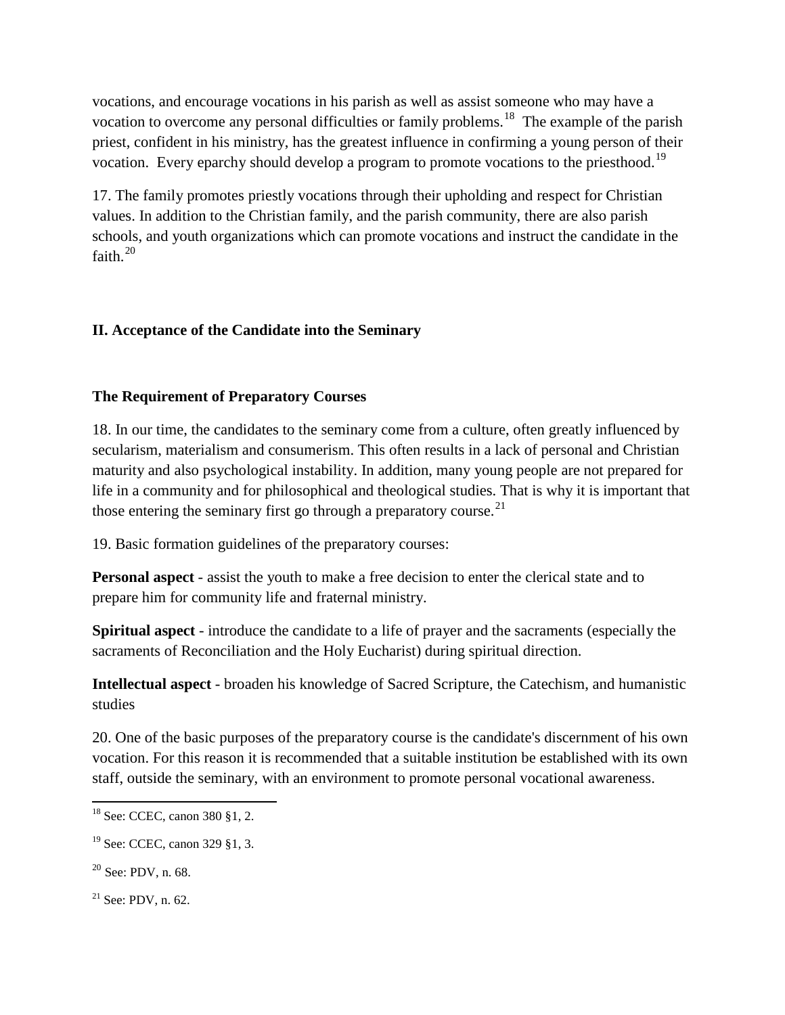vocations, and encourage vocations in his parish as well as assist someone who may have a vocation to overcome any personal difficulties or family problems.<sup>18</sup> The example of the parish priest, confident in his ministry, has the greatest influence in confirming a young person of their vocation. Every eparchy should develop a program to promote vocations to the priesthood.<sup>[19](#page-15-1)</sup>

17. The family promotes priestly vocations through their upholding and respect for Christian values. In addition to the Christian family, and the parish community, there are also parish schools, and youth organizations which can promote vocations and instruct the candidate in the faith.<sup>[20](#page-15-2)</sup>

# **II. Acceptance of the Candidate into the Seminary**

# **The Requirement of Preparatory Courses**

18. In our time, the candidates to the seminary come from a culture, often greatly influenced by secularism, materialism and consumerism. This often results in a lack of personal and Christian maturity and also psychological instability. In addition, many young people are not prepared for life in a community and for philosophical and theological studies. That is why it is important that those entering the seminary first go through a preparatory course.<sup>[21](#page-15-3)</sup>

19. Basic formation guidelines of the preparatory courses:

**Personal aspect** - assist the youth to make a free decision to enter the clerical state and to prepare him for community life and fraternal ministry.

**Spiritual aspect** - introduce the candidate to a life of prayer and the sacraments (especially the sacraments of Reconciliation and the Holy Eucharist) during spiritual direction.

**Intellectual aspect** - broaden his knowledge of Sacred Scripture, the Catechism, and humanistic studies

20. One of the basic purposes of the preparatory course is the candidate's discernment of his own vocation. For this reason it is recommended that a suitable institution be established with its own staff, outside the seminary, with an environment to promote personal vocational awareness.

<span id="page-15-0"></span><sup>18</sup> See: CCEC, canon 380 §1, 2.

<span id="page-15-1"></span><sup>19</sup> See: CCEC, canon 329 §1, 3.

<span id="page-15-2"></span> $20$  See: PDV, n. 68.

<span id="page-15-3"></span> $21$  See: PDV, n. 62.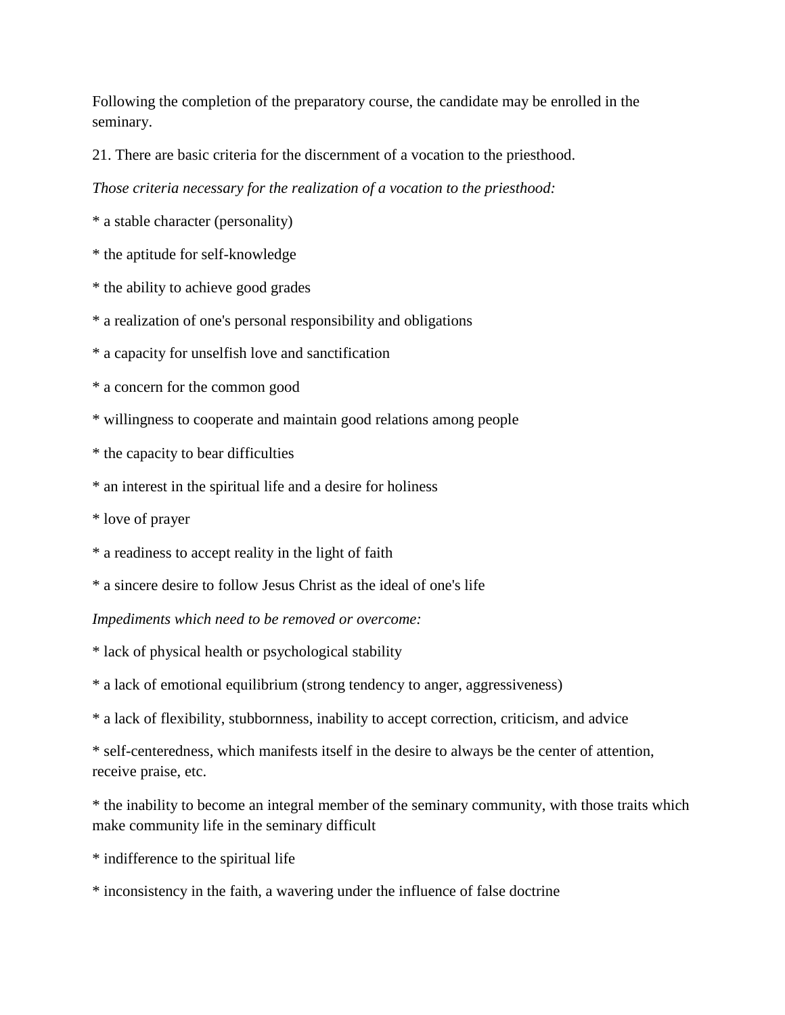Following the completion of the preparatory course, the candidate may be enrolled in the seminary.

21. There are basic criteria for the discernment of a vocation to the priesthood.

*Those criteria necessary for the realization of a vocation to the priesthood:*

\* a stable character (personality)

\* the aptitude for self-knowledge

\* the ability to achieve good grades

\* a realization of one's personal responsibility and obligations

\* a capacity for unselfish love and sanctification

\* a concern for the common good

\* willingness to cooperate and maintain good relations among people

\* the capacity to bear difficulties

\* an interest in the spiritual life and a desire for holiness

\* love of prayer

\* a readiness to accept reality in the light of faith

\* a sincere desire to follow Jesus Christ as the ideal of one's life

*Impediments which need to be removed or overcome:*

\* lack of physical health or psychological stability

\* a lack of emotional equilibrium (strong tendency to anger, aggressiveness)

\* a lack of flexibility, stubbornness, inability to accept correction, criticism, and advice

\* self-centeredness, which manifests itself in the desire to always be the center of attention, receive praise, etc.

\* the inability to become an integral member of the seminary community, with those traits which make community life in the seminary difficult

\* indifference to the spiritual life

\* inconsistency in the faith, a wavering under the influence of false doctrine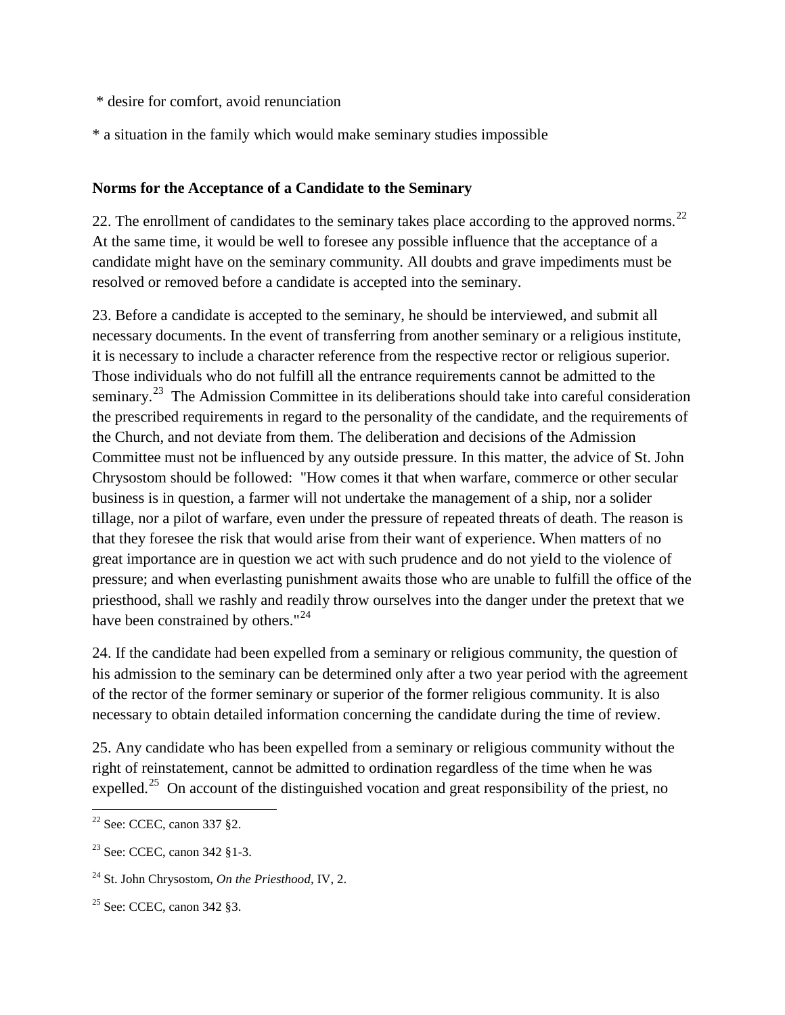- \* desire for comfort, avoid renunciation
- \* a situation in the family which would make seminary studies impossible

# **Norms for the Acceptance of a Candidate to the Seminary**

[22](#page-17-0). The enrollment of candidates to the seminary takes place according to the approved norms.<sup>22</sup> At the same time, it would be well to foresee any possible influence that the acceptance of a candidate might have on the seminary community. All doubts and grave impediments must be resolved or removed before a candidate is accepted into the seminary.

23. Before a candidate is accepted to the seminary, he should be interviewed, and submit all necessary documents. In the event of transferring from another seminary or a religious institute, it is necessary to include a character reference from the respective rector or religious superior. Those individuals who do not fulfill all the entrance requirements cannot be admitted to the seminary.<sup>23</sup> The Admission Committee in its deliberations should take into careful consideration the prescribed requirements in regard to the personality of the candidate, and the requirements of the Church, and not deviate from them. The deliberation and decisions of the Admission Committee must not be influenced by any outside pressure. In this matter, the advice of St. John Chrysostom should be followed: "How comes it that when warfare, commerce or other secular business is in question, a farmer will not undertake the management of a ship, nor a solider tillage, nor a pilot of warfare, even under the pressure of repeated threats of death. The reason is that they foresee the risk that would arise from their want of experience. When matters of no great importance are in question we act with such prudence and do not yield to the violence of pressure; and when everlasting punishment awaits those who are unable to fulfill the office of the priesthood, shall we rashly and readily throw ourselves into the danger under the pretext that we have been constrained by others."<sup>[24](#page-17-2)</sup>

24. If the candidate had been expelled from a seminary or religious community, the question of his admission to the seminary can be determined only after a two year period with the agreement of the rector of the former seminary or superior of the former religious community. It is also necessary to obtain detailed information concerning the candidate during the time of review.

25. Any candidate who has been expelled from a seminary or religious community without the right of reinstatement, cannot be admitted to ordination regardless of the time when he was expelled.<sup>[25](#page-17-3)</sup> On account of the distinguished vocation and great responsibility of the priest, no

l

<span id="page-17-0"></span> $22$  See: CCEC, canon 337  $82$ .

<span id="page-17-1"></span><sup>23</sup> See: CCEC, canon 342 §1-3.

<span id="page-17-2"></span><sup>24</sup> St. John Chrysostom, *On the Priesthood,* IV, 2.

<span id="page-17-3"></span> $25$  See: CCEC, canon 342  $83$ .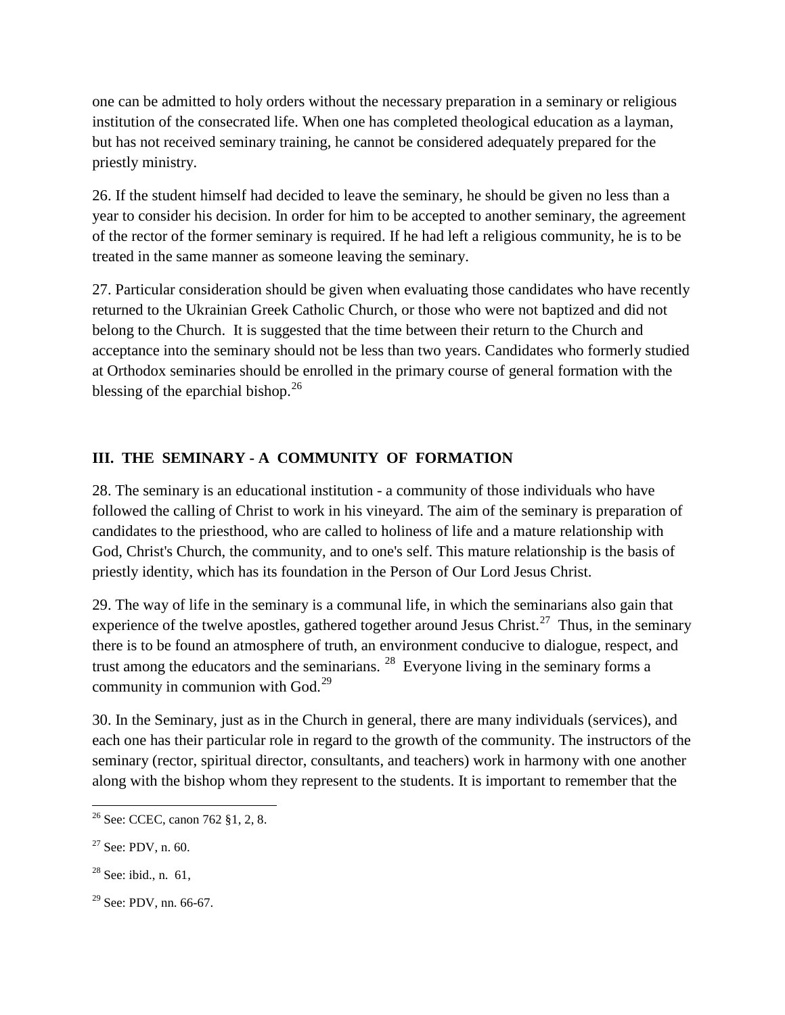one can be admitted to holy orders without the necessary preparation in a seminary or religious institution of the consecrated life. When one has completed theological education as a layman, but has not received seminary training, he cannot be considered adequately prepared for the priestly ministry.

26. If the student himself had decided to leave the seminary, he should be given no less than a year to consider his decision. In order for him to be accepted to another seminary, the agreement of the rector of the former seminary is required. If he had left a religious community, he is to be treated in the same manner as someone leaving the seminary.

27. Particular consideration should be given when evaluating those candidates who have recently returned to the Ukrainian Greek Catholic Church, or those who were not baptized and did not belong to the Church. It is suggested that the time between their return to the Church and acceptance into the seminary should not be less than two years. Candidates who formerly studied at Orthodox seminaries should be enrolled in the primary course of general formation with the blessing of the eparchial bishop. $^{26}$  $^{26}$  $^{26}$ 

# **III. THE SEMINARY - A COMMUNITY OF FORMATION**

28. The seminary is an educational institution - a community of those individuals who have followed the calling of Christ to work in his vineyard. The aim of the seminary is preparation of candidates to the priesthood, who are called to holiness of life and a mature relationship with God, Christ's Church, the community, and to one's self. This mature relationship is the basis of priestly identity, which has its foundation in the Person of Our Lord Jesus Christ.

29. The way of life in the seminary is a communal life, in which the seminarians also gain that experience of the twelve apostles, gathered together around Jesus Christ.<sup>[27](#page-18-1)</sup> Thus, in the seminary there is to be found an atmosphere of truth, an environment conducive to dialogue, respect, and trust among the educators and the seminarians.  $^{28}$  Everyone living in the seminary forms a community in communion with  $God.<sup>29</sup>$  $God.<sup>29</sup>$  $God.<sup>29</sup>$ 

30. In the Seminary, just as in the Church in general, there are many individuals (services), and each one has their particular role in regard to the growth of the community. The instructors of the seminary (rector, spiritual director, consultants, and teachers) work in harmony with one another along with the bishop whom they represent to the students. It is important to remember that the

- <span id="page-18-2"></span> $28$  See: ibid., n. 61,
- <span id="page-18-3"></span> $29$  See: PDV, nn. 66-67.

<span id="page-18-0"></span>l <sup>26</sup> See: CCEC, canon 762 §1, 2, 8.

<span id="page-18-1"></span> $27$  See: PDV, n. 60.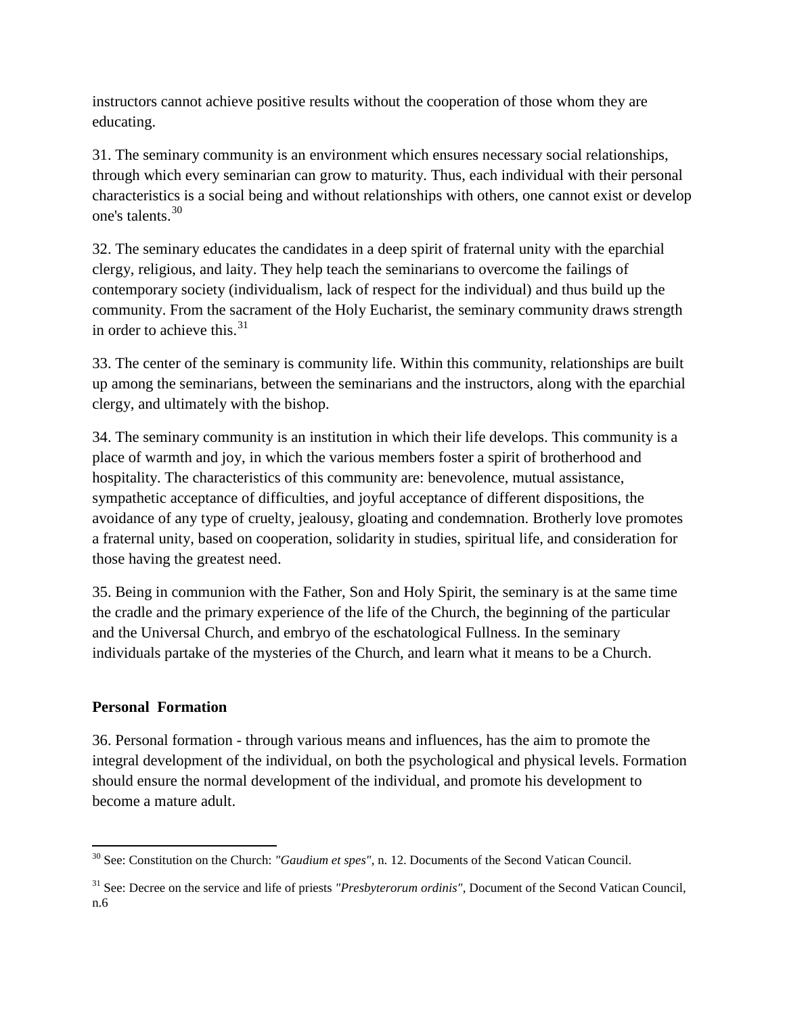instructors cannot achieve positive results without the cooperation of those whom they are educating.

31. The seminary community is an environment which ensures necessary social relationships, through which every seminarian can grow to maturity. Thus, each individual with their personal characteristics is a social being and without relationships with others, one cannot exist or develop one's talents.[30](#page-19-0)

32. The seminary educates the candidates in a deep spirit of fraternal unity with the eparchial clergy, religious, and laity. They help teach the seminarians to overcome the failings of contemporary society (individualism, lack of respect for the individual) and thus build up the community. From the sacrament of the Holy Eucharist, the seminary community draws strength in order to achieve this.<sup>[31](#page-19-1)</sup>

33. The center of the seminary is community life. Within this community, relationships are built up among the seminarians, between the seminarians and the instructors, along with the eparchial clergy, and ultimately with the bishop.

34. The seminary community is an institution in which their life develops. This community is a place of warmth and joy, in which the various members foster a spirit of brotherhood and hospitality. The characteristics of this community are: benevolence, mutual assistance, sympathetic acceptance of difficulties, and joyful acceptance of different dispositions, the avoidance of any type of cruelty, jealousy, gloating and condemnation. Brotherly love promotes a fraternal unity, based on cooperation, solidarity in studies, spiritual life, and consideration for those having the greatest need.

35. Being in communion with the Father, Son and Holy Spirit, the seminary is at the same time the cradle and the primary experience of the life of the Church, the beginning of the particular and the Universal Church, and embryo of the eschatological Fullness. In the seminary individuals partake of the mysteries of the Church, and learn what it means to be a Church.

# **Personal Formation**

 $\overline{\phantom{a}}$ 

36. Personal formation - through various means and influences, has the aim to promote the integral development of the individual, on both the psychological and physical levels. Formation should ensure the normal development of the individual, and promote his development to become a mature adult.

<span id="page-19-0"></span><sup>30</sup> See: Constitution on the Church: *"Gaudium et spes",* n. 12. Documents of the Second Vatican Council.

<span id="page-19-1"></span><sup>&</sup>lt;sup>31</sup> See: Decree on the service and life of priests *"Presbyterorum ordinis"*, Document of the Second Vatican Council, n.6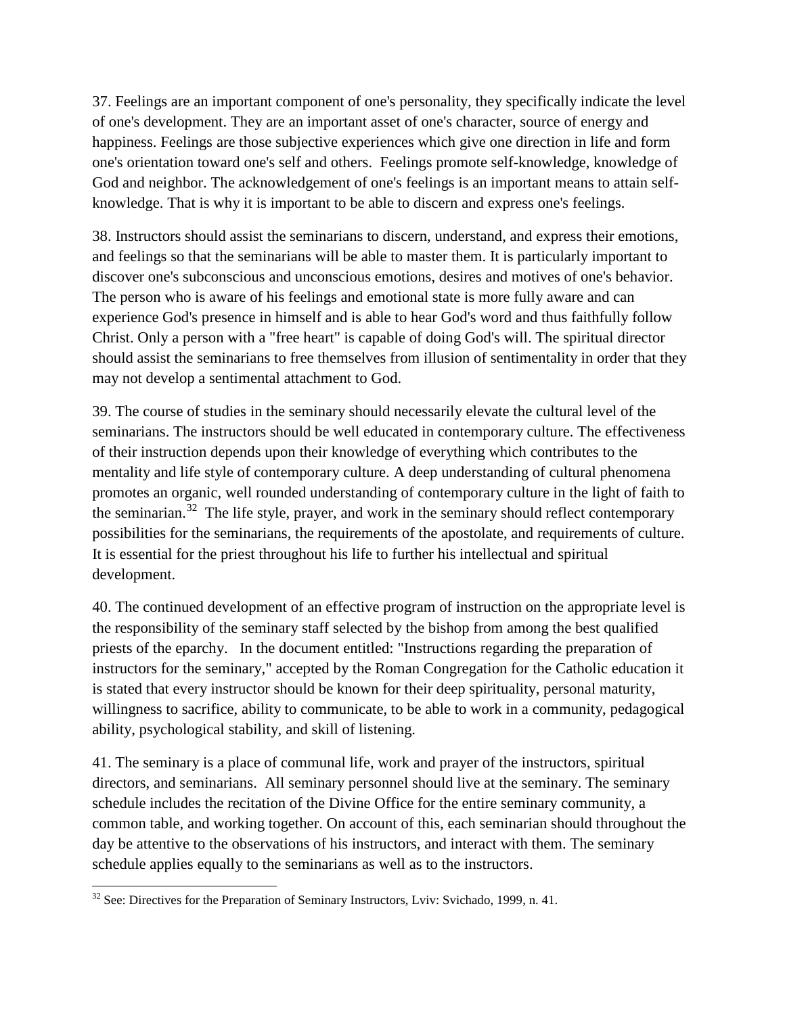37. Feelings are an important component of one's personality, they specifically indicate the level of one's development. They are an important asset of one's character, source of energy and happiness. Feelings are those subjective experiences which give one direction in life and form one's orientation toward one's self and others. Feelings promote self-knowledge, knowledge of God and neighbor. The acknowledgement of one's feelings is an important means to attain selfknowledge. That is why it is important to be able to discern and express one's feelings.

38. Instructors should assist the seminarians to discern, understand, and express their emotions, and feelings so that the seminarians will be able to master them. It is particularly important to discover one's subconscious and unconscious emotions, desires and motives of one's behavior. The person who is aware of his feelings and emotional state is more fully aware and can experience God's presence in himself and is able to hear God's word and thus faithfully follow Christ. Only a person with a "free heart" is capable of doing God's will. The spiritual director should assist the seminarians to free themselves from illusion of sentimentality in order that they may not develop a sentimental attachment to God.

39. The course of studies in the seminary should necessarily elevate the cultural level of the seminarians. The instructors should be well educated in contemporary culture. The effectiveness of their instruction depends upon their knowledge of everything which contributes to the mentality and life style of contemporary culture. A deep understanding of cultural phenomena promotes an organic, well rounded understanding of contemporary culture in the light of faith to the seminarian.<sup>[32](#page-20-0)</sup> The life style, prayer, and work in the seminary should reflect contemporary possibilities for the seminarians, the requirements of the apostolate, and requirements of culture. It is essential for the priest throughout his life to further his intellectual and spiritual development.

40. The continued development of an effective program of instruction on the appropriate level is the responsibility of the seminary staff selected by the bishop from among the best qualified priests of the eparchy. In the document entitled: "Instructions regarding the preparation of instructors for the seminary," accepted by the Roman Congregation for the Catholic education it is stated that every instructor should be known for their deep spirituality, personal maturity, willingness to sacrifice, ability to communicate, to be able to work in a community, pedagogical ability, psychological stability, and skill of listening.

41. The seminary is a place of communal life, work and prayer of the instructors, spiritual directors, and seminarians. All seminary personnel should live at the seminary. The seminary schedule includes the recitation of the Divine Office for the entire seminary community, a common table, and working together. On account of this, each seminarian should throughout the day be attentive to the observations of his instructors, and interact with them. The seminary schedule applies equally to the seminarians as well as to the instructors.

<span id="page-20-0"></span><sup>&</sup>lt;sup>32</sup> See: Directives for the Preparation of Seminary Instructors, Lviv: Svichado, 1999, n. 41.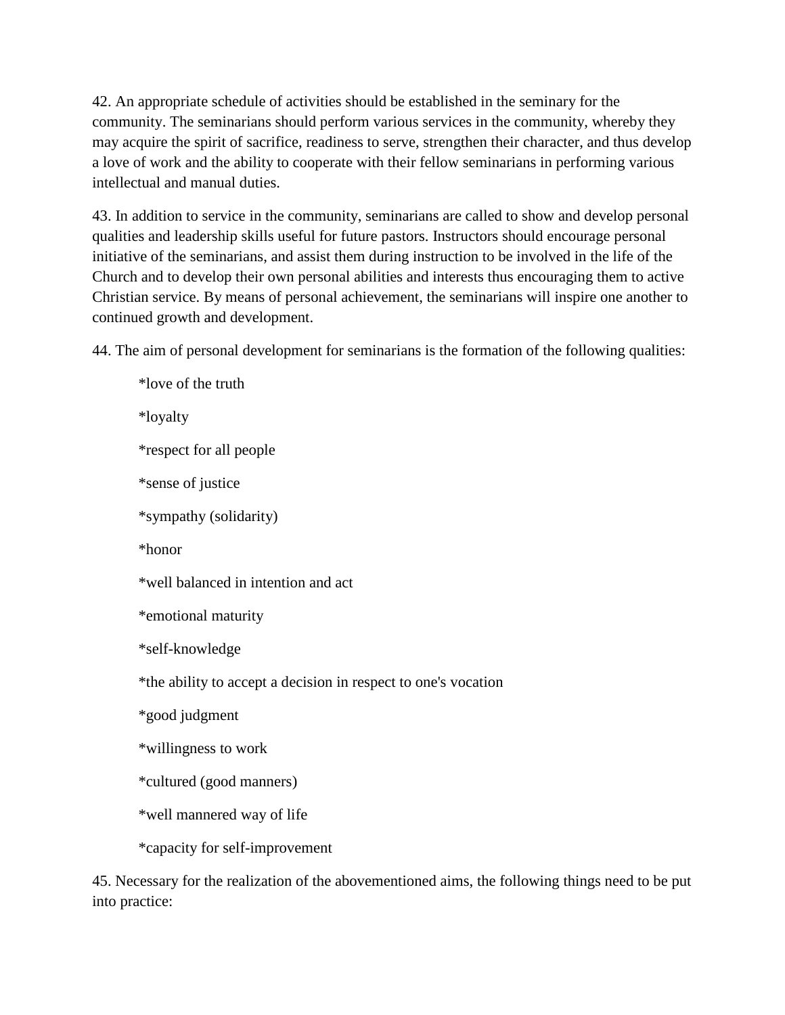42. An appropriate schedule of activities should be established in the seminary for the community. The seminarians should perform various services in the community, whereby they may acquire the spirit of sacrifice, readiness to serve, strengthen their character, and thus develop a love of work and the ability to cooperate with their fellow seminarians in performing various intellectual and manual duties.

43. In addition to service in the community, seminarians are called to show and develop personal qualities and leadership skills useful for future pastors. Instructors should encourage personal initiative of the seminarians, and assist them during instruction to be involved in the life of the Church and to develop their own personal abilities and interests thus encouraging them to active Christian service. By means of personal achievement, the seminarians will inspire one another to continued growth and development.

44. The aim of personal development for seminarians is the formation of the following qualities:

\*love of the truth \*loyalty \*respect for all people \*sense of justice \*sympathy (solidarity) \*honor \*well balanced in intention and act \*emotional maturity \*self-knowledge \*the ability to accept a decision in respect to one's vocation \*good judgment \*willingness to work \*cultured (good manners) \*well mannered way of life \*capacity for self-improvement

45. Necessary for the realization of the abovementioned aims, the following things need to be put into practice: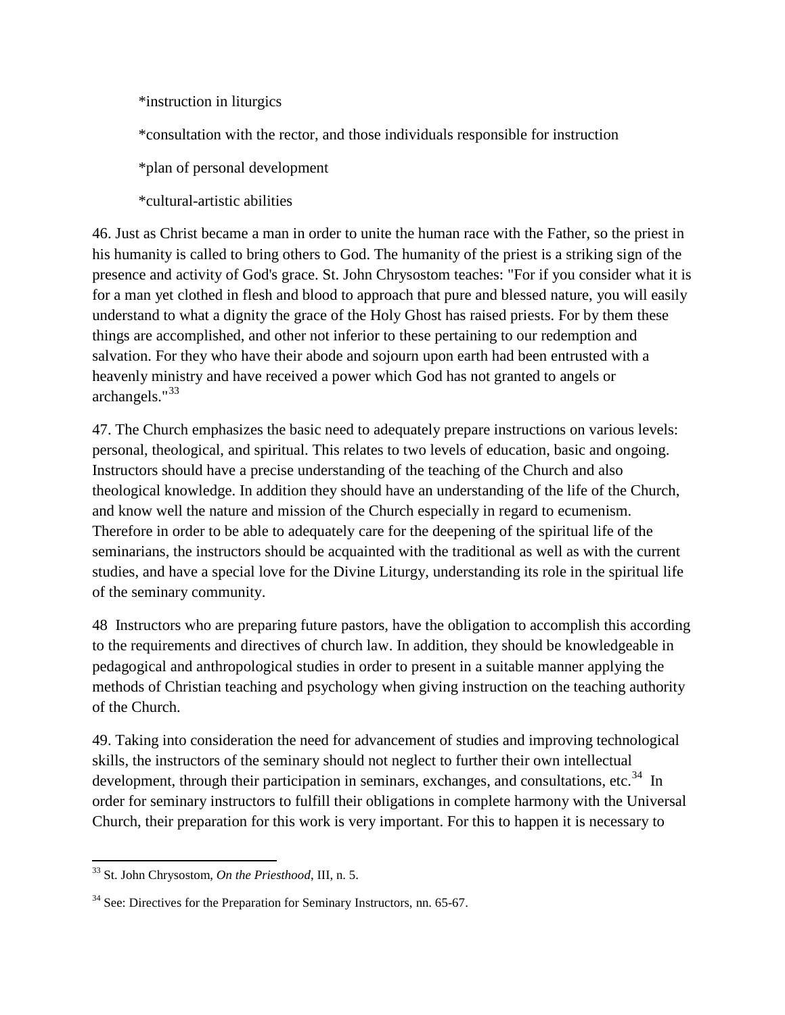\*instruction in liturgics

\*consultation with the rector, and those individuals responsible for instruction

\*plan of personal development

\*cultural-artistic abilities

46. Just as Christ became a man in order to unite the human race with the Father, so the priest in his humanity is called to bring others to God. The humanity of the priest is a striking sign of the presence and activity of God's grace. St. John Chrysostom teaches: "For if you consider what it is for a man yet clothed in flesh and blood to approach that pure and blessed nature, you will easily understand to what a dignity the grace of the Holy Ghost has raised priests. For by them these things are accomplished, and other not inferior to these pertaining to our redemption and salvation. For they who have their abode and sojourn upon earth had been entrusted with a heavenly ministry and have received a power which God has not granted to angels or archangels."<sup>[33](#page-22-0)</sup>

47. The Church emphasizes the basic need to adequately prepare instructions on various levels: personal, theological, and spiritual. This relates to two levels of education, basic and ongoing. Instructors should have a precise understanding of the teaching of the Church and also theological knowledge. In addition they should have an understanding of the life of the Church, and know well the nature and mission of the Church especially in regard to ecumenism. Therefore in order to be able to adequately care for the deepening of the spiritual life of the seminarians, the instructors should be acquainted with the traditional as well as with the current studies, and have a special love for the Divine Liturgy, understanding its role in the spiritual life of the seminary community.

48 Instructors who are preparing future pastors, have the obligation to accomplish this according to the requirements and directives of church law. In addition, they should be knowledgeable in pedagogical and anthropological studies in order to present in a suitable manner applying the methods of Christian teaching and psychology when giving instruction on the teaching authority of the Church.

49. Taking into consideration the need for advancement of studies and improving technological skills, the instructors of the seminary should not neglect to further their own intellectual development, through their participation in seminars, exchanges, and consultations, etc.<sup>[34](#page-22-1)</sup> In order for seminary instructors to fulfill their obligations in complete harmony with the Universal Church, their preparation for this work is very important. For this to happen it is necessary to

<span id="page-22-0"></span>l <sup>33</sup> St. John Chrysostom, *On the Priesthood*, III, n. 5.

<span id="page-22-1"></span> $34$  See: Directives for the Preparation for Seminary Instructors, nn. 65-67.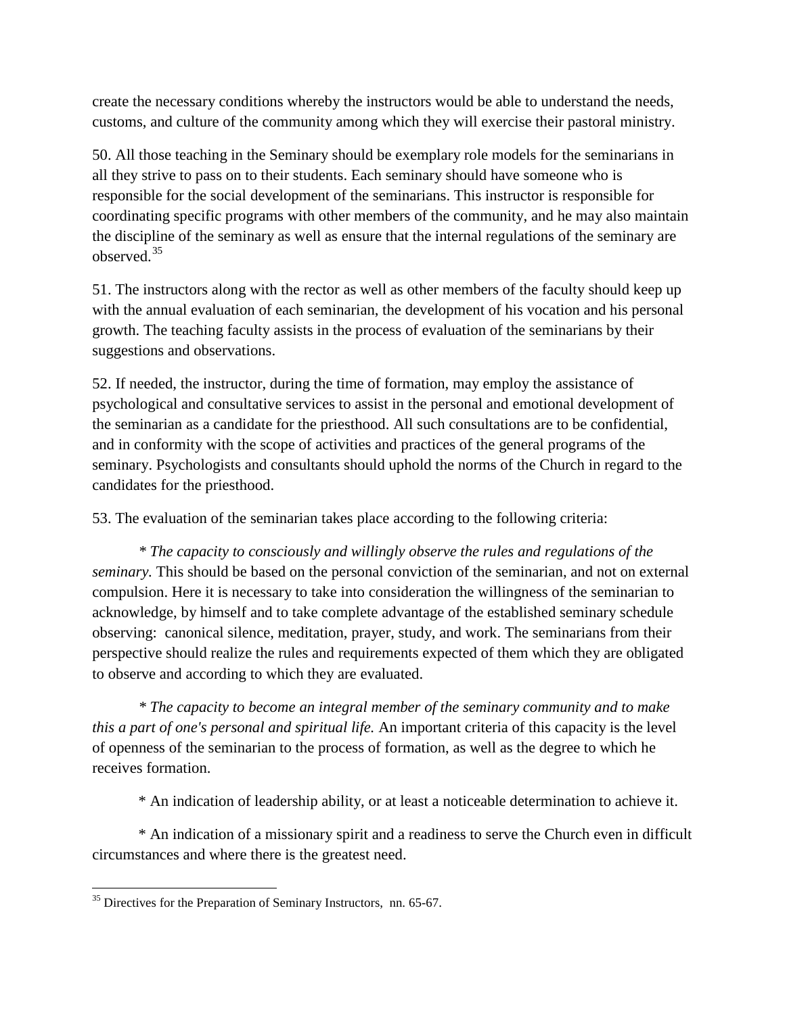create the necessary conditions whereby the instructors would be able to understand the needs, customs, and culture of the community among which they will exercise their pastoral ministry.

50. All those teaching in the Seminary should be exemplary role models for the seminarians in all they strive to pass on to their students. Each seminary should have someone who is responsible for the social development of the seminarians. This instructor is responsible for coordinating specific programs with other members of the community, and he may also maintain the discipline of the seminary as well as ensure that the internal regulations of the seminary are observed.[35](#page-23-0)

51. The instructors along with the rector as well as other members of the faculty should keep up with the annual evaluation of each seminarian, the development of his vocation and his personal growth. The teaching faculty assists in the process of evaluation of the seminarians by their suggestions and observations.

52. If needed, the instructor, during the time of formation, may employ the assistance of psychological and consultative services to assist in the personal and emotional development of the seminarian as a candidate for the priesthood. All such consultations are to be confidential, and in conformity with the scope of activities and practices of the general programs of the seminary. Psychologists and consultants should uphold the norms of the Church in regard to the candidates for the priesthood.

53. The evaluation of the seminarian takes place according to the following criteria:

*\* The capacity to consciously and willingly observe the rules and regulations of the seminary.* This should be based on the personal conviction of the seminarian, and not on external compulsion. Here it is necessary to take into consideration the willingness of the seminarian to acknowledge, by himself and to take complete advantage of the established seminary schedule observing: canonical silence, meditation, prayer, study, and work. The seminarians from their perspective should realize the rules and requirements expected of them which they are obligated to observe and according to which they are evaluated.

*\* The capacity to become an integral member of the seminary community and to make this a part of one's personal and spiritual life.* An important criteria of this capacity is the level of openness of the seminarian to the process of formation, as well as the degree to which he receives formation.

\* An indication of leadership ability, or at least a noticeable determination to achieve it.

\* An indication of a missionary spirit and a readiness to serve the Church even in difficult circumstances and where there is the greatest need.

 $\overline{\phantom{a}}$ 

<span id="page-23-0"></span> $35$  Directives for the Preparation of Seminary Instructors, nn. 65-67.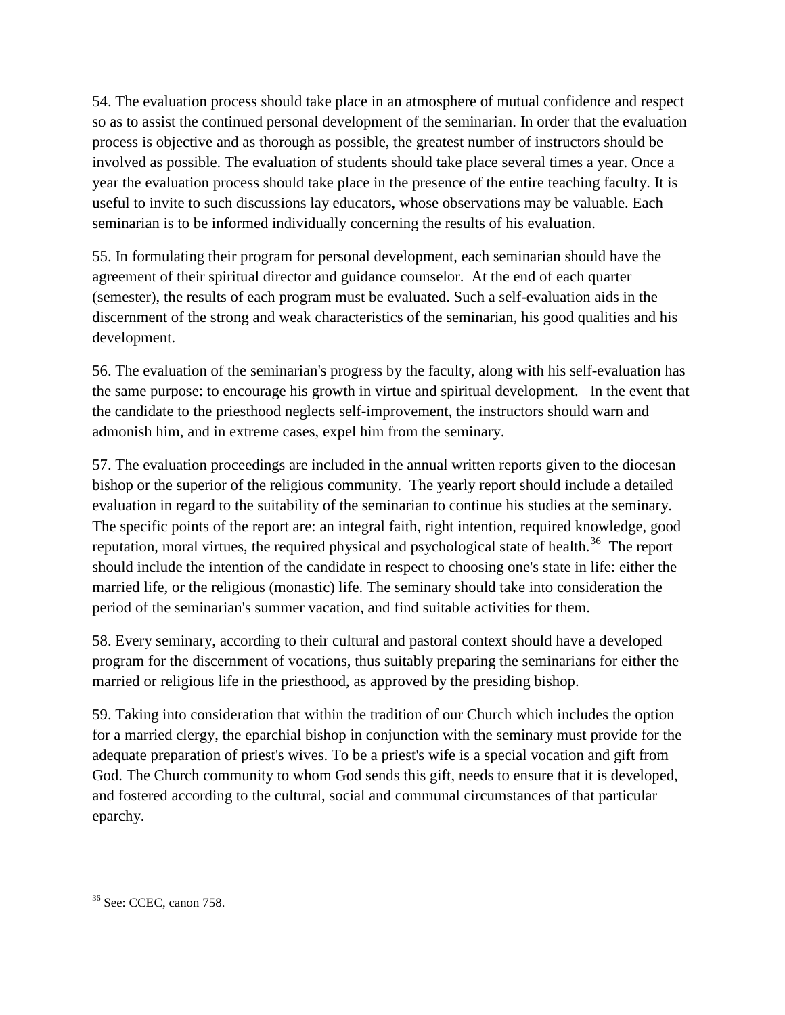54. The evaluation process should take place in an atmosphere of mutual confidence and respect so as to assist the continued personal development of the seminarian. In order that the evaluation process is objective and as thorough as possible, the greatest number of instructors should be involved as possible. The evaluation of students should take place several times a year. Once a year the evaluation process should take place in the presence of the entire teaching faculty. It is useful to invite to such discussions lay educators, whose observations may be valuable. Each seminarian is to be informed individually concerning the results of his evaluation.

55. In formulating their program for personal development, each seminarian should have the agreement of their spiritual director and guidance counselor. At the end of each quarter (semester), the results of each program must be evaluated. Such a self-evaluation aids in the discernment of the strong and weak characteristics of the seminarian, his good qualities and his development.

56. The evaluation of the seminarian's progress by the faculty, along with his self-evaluation has the same purpose: to encourage his growth in virtue and spiritual development. In the event that the candidate to the priesthood neglects self-improvement, the instructors should warn and admonish him, and in extreme cases, expel him from the seminary.

57. The evaluation proceedings are included in the annual written reports given to the diocesan bishop or the superior of the religious community. The yearly report should include a detailed evaluation in regard to the suitability of the seminarian to continue his studies at the seminary. The specific points of the report are: an integral faith, right intention, required knowledge, good reputation, moral virtues, the required physical and psychological state of health.<sup>[36](#page-24-0)</sup> The report should include the intention of the candidate in respect to choosing one's state in life: either the married life, or the religious (monastic) life. The seminary should take into consideration the period of the seminarian's summer vacation, and find suitable activities for them.

58. Every seminary, according to their cultural and pastoral context should have a developed program for the discernment of vocations, thus suitably preparing the seminarians for either the married or religious life in the priesthood, as approved by the presiding bishop.

59. Taking into consideration that within the tradition of our Church which includes the option for a married clergy, the eparchial bishop in conjunction with the seminary must provide for the adequate preparation of priest's wives. To be a priest's wife is a special vocation and gift from God. The Church community to whom God sends this gift, needs to ensure that it is developed, and fostered according to the cultural, social and communal circumstances of that particular eparchy.

<span id="page-24-0"></span> $\overline{\phantom{a}}$ <sup>36</sup> See: CCEC, canon 758.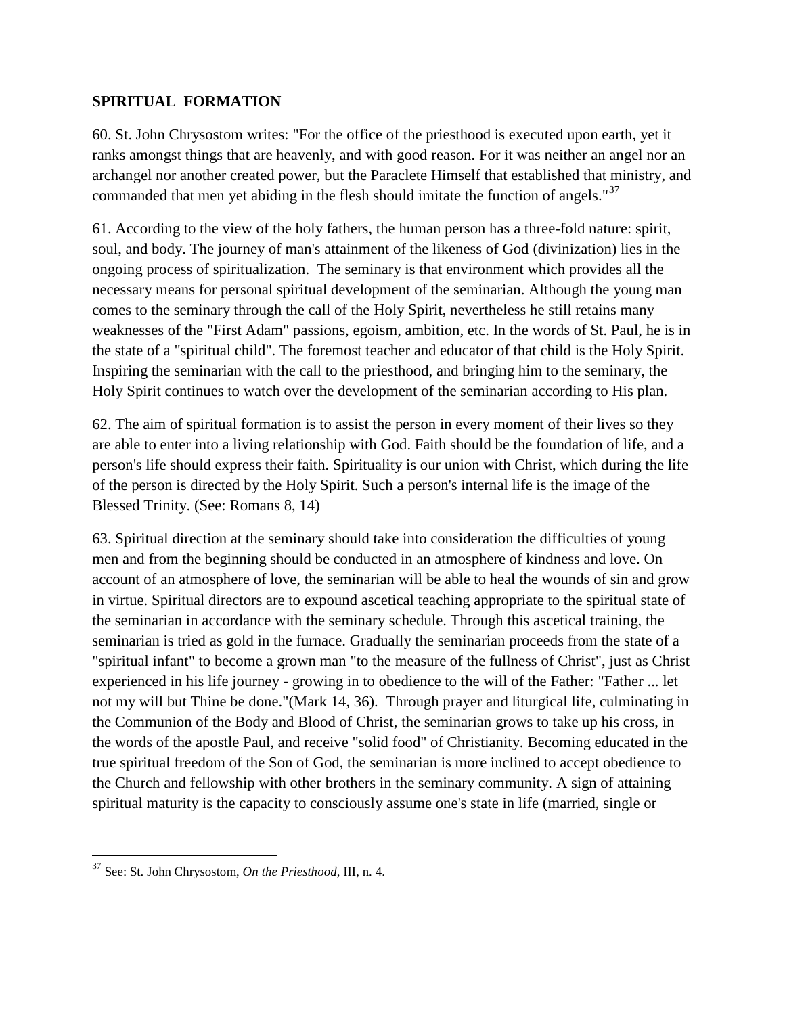## **SPIRITUAL FORMATION**

60. St. John Chrysostom writes: "For the office of the priesthood is executed upon earth, yet it ranks amongst things that are heavenly, and with good reason. For it was neither an angel nor an archangel nor another created power, but the Paraclete Himself that established that ministry, and commanded that men yet abiding in the flesh should imitate the function of angels."<sup>[37](#page-25-0)</sup>

61. According to the view of the holy fathers, the human person has a three-fold nature: spirit, soul, and body. The journey of man's attainment of the likeness of God (divinization) lies in the ongoing process of spiritualization. The seminary is that environment which provides all the necessary means for personal spiritual development of the seminarian. Although the young man comes to the seminary through the call of the Holy Spirit, nevertheless he still retains many weaknesses of the "First Adam" passions, egoism, ambition, etc. In the words of St. Paul, he is in the state of a "spiritual child". The foremost teacher and educator of that child is the Holy Spirit. Inspiring the seminarian with the call to the priesthood, and bringing him to the seminary, the Holy Spirit continues to watch over the development of the seminarian according to His plan.

62. The aim of spiritual formation is to assist the person in every moment of their lives so they are able to enter into a living relationship with God. Faith should be the foundation of life, and a person's life should express their faith. Spirituality is our union with Christ, which during the life of the person is directed by the Holy Spirit. Such a person's internal life is the image of the Blessed Trinity. (See: Romans 8, 14)

63. Spiritual direction at the seminary should take into consideration the difficulties of young men and from the beginning should be conducted in an atmosphere of kindness and love. On account of an atmosphere of love, the seminarian will be able to heal the wounds of sin and grow in virtue. Spiritual directors are to expound ascetical teaching appropriate to the spiritual state of the seminarian in accordance with the seminary schedule. Through this ascetical training, the seminarian is tried as gold in the furnace. Gradually the seminarian proceeds from the state of a "spiritual infant" to become a grown man "to the measure of the fullness of Christ", just as Christ experienced in his life journey - growing in to obedience to the will of the Father: "Father ... let not my will but Thine be done."(Mark 14, 36). Through prayer and liturgical life, culminating in the Communion of the Body and Blood of Christ, the seminarian grows to take up his cross, in the words of the apostle Paul, and receive "solid food" of Christianity. Becoming educated in the true spiritual freedom of the Son of God, the seminarian is more inclined to accept obedience to the Church and fellowship with other brothers in the seminary community. A sign of attaining spiritual maturity is the capacity to consciously assume one's state in life (married, single or

l

<span id="page-25-0"></span><sup>37</sup> See: St. John Chrysostom, *On the Priesthood*, III, n. 4.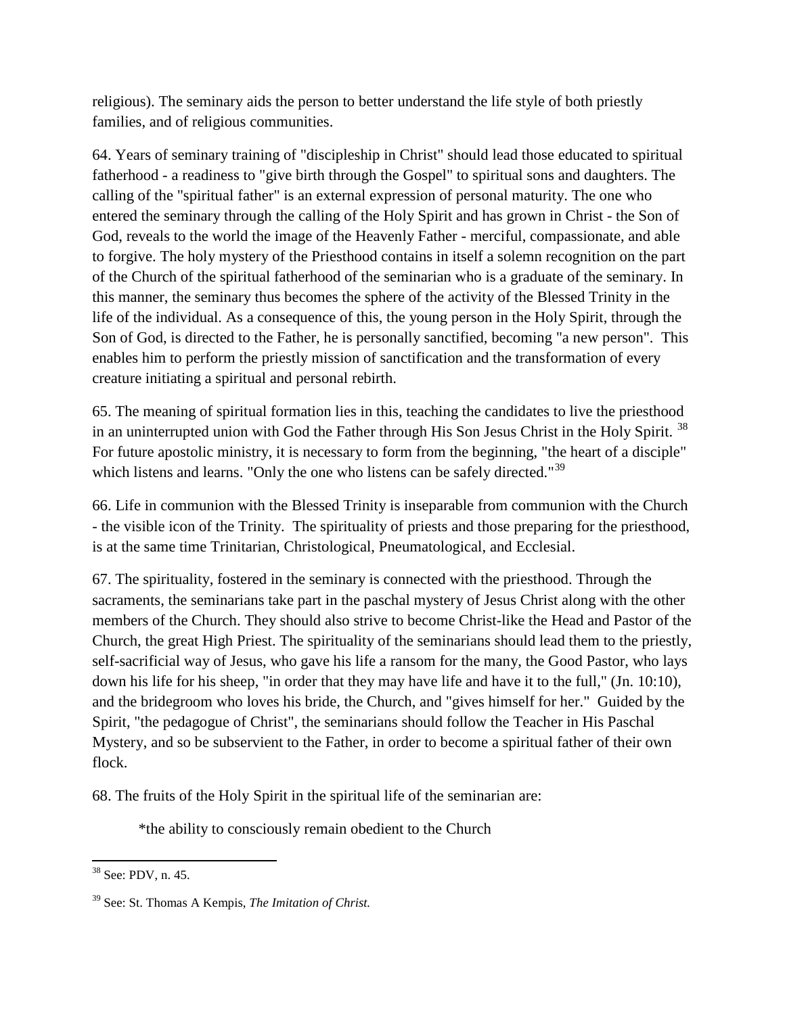religious). The seminary aids the person to better understand the life style of both priestly families, and of religious communities.

64. Years of seminary training of "discipleship in Christ" should lead those educated to spiritual fatherhood - a readiness to "give birth through the Gospel" to spiritual sons and daughters. The calling of the "spiritual father" is an external expression of personal maturity. The one who entered the seminary through the calling of the Holy Spirit and has grown in Christ - the Son of God, reveals to the world the image of the Heavenly Father - merciful, compassionate, and able to forgive. The holy mystery of the Priesthood contains in itself a solemn recognition on the part of the Church of the spiritual fatherhood of the seminarian who is a graduate of the seminary. In this manner, the seminary thus becomes the sphere of the activity of the Blessed Trinity in the life of the individual. As a consequence of this, the young person in the Holy Spirit, through the Son of God, is directed to the Father, he is personally sanctified, becoming "a new person". This enables him to perform the priestly mission of sanctification and the transformation of every creature initiating a spiritual and personal rebirth.

65. The meaning of spiritual formation lies in this, teaching the candidates to live the priesthood in an uninterrupted union with God the Father through His Son Jesus Christ in the Holy Spirit.<sup>38</sup> For future apostolic ministry, it is necessary to form from the beginning, "the heart of a disciple" which listens and learns. "Only the one who listens can be safely directed."<sup>[39](#page-26-1)</sup>

66. Life in communion with the Blessed Trinity is inseparable from communion with the Church - the visible icon of the Trinity. The spirituality of priests and those preparing for the priesthood, is at the same time Trinitarian, Christological, Pneumatological, and Ecclesial.

67. The spirituality, fostered in the seminary is connected with the priesthood. Through the sacraments, the seminarians take part in the paschal mystery of Jesus Christ along with the other members of the Church. They should also strive to become Christ-like the Head and Pastor of the Church, the great High Priest. The spirituality of the seminarians should lead them to the priestly, self-sacrificial way of Jesus, who gave his life a ransom for the many, the Good Pastor, who lays down his life for his sheep, "in order that they may have life and have it to the full," (Jn. 10:10), and the bridegroom who loves his bride, the Church, and "gives himself for her." Guided by the Spirit, "the pedagogue of Christ", the seminarians should follow the Teacher in His Paschal Mystery, and so be subservient to the Father, in order to become a spiritual father of their own flock.

68. The fruits of the Holy Spirit in the spiritual life of the seminarian are:

\*the ability to consciously remain obedient to the Church

l

<span id="page-26-0"></span><sup>38</sup> See: PDV, n. 45.

<span id="page-26-1"></span><sup>39</sup> See: St. Thomas A Kempis, *The Imitation of Christ.*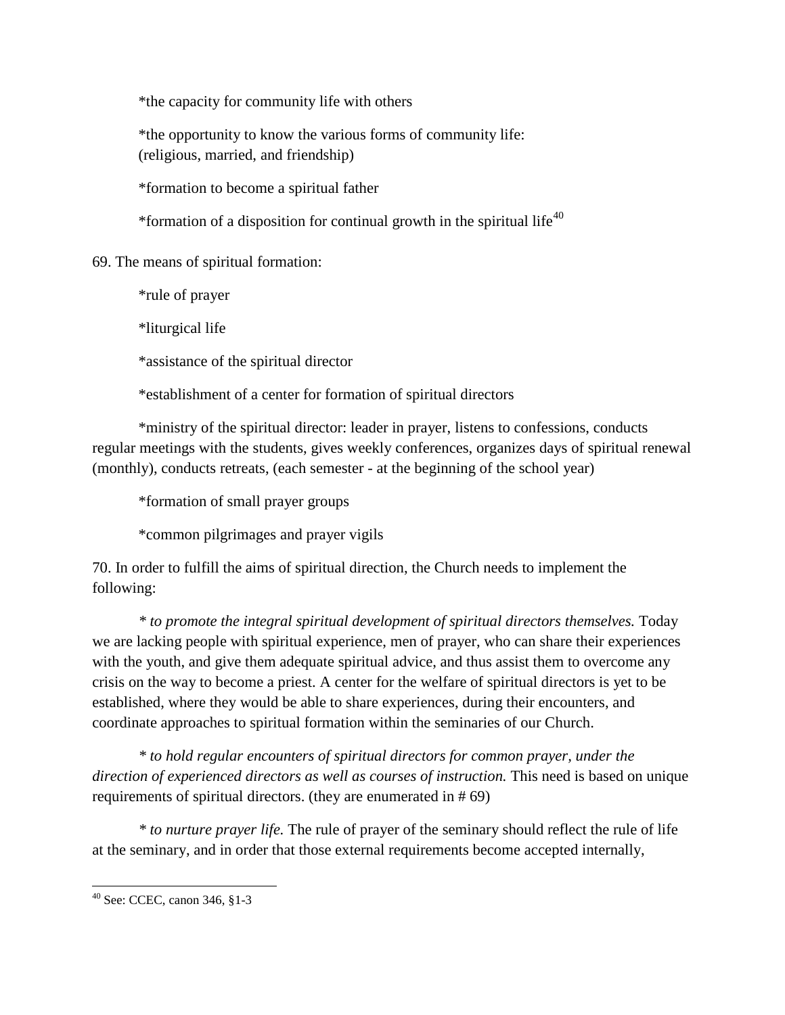\*the capacity for community life with others

\*the opportunity to know the various forms of community life: (religious, married, and friendship)

\*formation to become a spiritual father

\*formation of a disposition for continual growth in the spiritual life<sup>[40](#page-27-0)</sup>

69. The means of spiritual formation:

\*rule of prayer

\*liturgical life

\*assistance of the spiritual director

\*establishment of a center for formation of spiritual directors

\*ministry of the spiritual director: leader in prayer, listens to confessions, conducts regular meetings with the students, gives weekly conferences, organizes days of spiritual renewal (monthly), conducts retreats, (each semester - at the beginning of the school year)

\*formation of small prayer groups

\*common pilgrimages and prayer vigils

70. In order to fulfill the aims of spiritual direction, the Church needs to implement the following:

*\* to promote the integral spiritual development of spiritual directors themselves.* Today we are lacking people with spiritual experience, men of prayer, who can share their experiences with the youth, and give them adequate spiritual advice, and thus assist them to overcome any crisis on the way to become a priest. A center for the welfare of spiritual directors is yet to be established, where they would be able to share experiences, during their encounters, and coordinate approaches to spiritual formation within the seminaries of our Church.

*\* to hold regular encounters of spiritual directors for common prayer, under the direction of experienced directors as well as courses of instruction.* This need is based on unique requirements of spiritual directors. (they are enumerated in # 69)

*\* to nurture prayer life.* The rule of prayer of the seminary should reflect the rule of life at the seminary, and in order that those external requirements become accepted internally,

<span id="page-27-0"></span><sup>40</sup> See: CCEC, canon 346, §1-3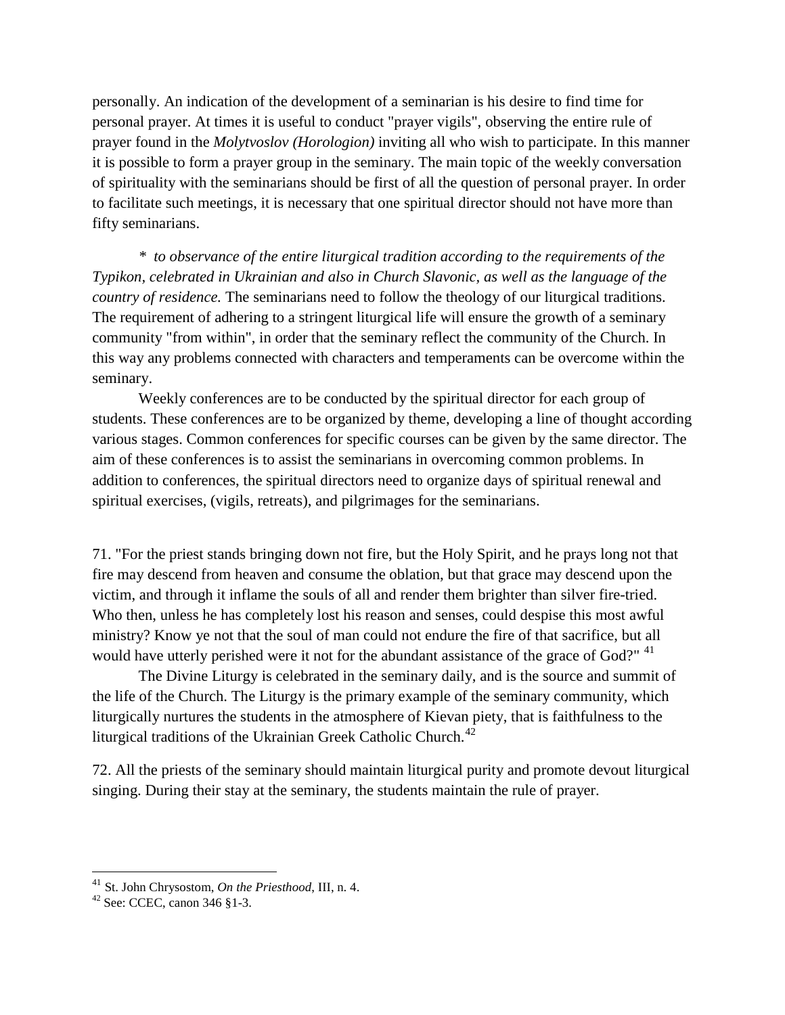personally. An indication of the development of a seminarian is his desire to find time for personal prayer. At times it is useful to conduct "prayer vigils", observing the entire rule of prayer found in the *Molytvoslov (Horologion)* inviting all who wish to participate. In this manner it is possible to form a prayer group in the seminary. The main topic of the weekly conversation of spirituality with the seminarians should be first of all the question of personal prayer. In order to facilitate such meetings, it is necessary that one spiritual director should not have more than fifty seminarians.

*\* to observance of the entire liturgical tradition according to the requirements of the Typikon, celebrated in Ukrainian and also in Church Slavonic, as well as the language of the country of residence.* The seminarians need to follow the theology of our liturgical traditions. The requirement of adhering to a stringent liturgical life will ensure the growth of a seminary community "from within", in order that the seminary reflect the community of the Church. In this way any problems connected with characters and temperaments can be overcome within the seminary.

Weekly conferences are to be conducted by the spiritual director for each group of students. These conferences are to be organized by theme, developing a line of thought according various stages. Common conferences for specific courses can be given by the same director. The aim of these conferences is to assist the seminarians in overcoming common problems. In addition to conferences, the spiritual directors need to organize days of spiritual renewal and spiritual exercises, (vigils, retreats), and pilgrimages for the seminarians.

71. "For the priest stands bringing down not fire, but the Holy Spirit, and he prays long not that fire may descend from heaven and consume the oblation, but that grace may descend upon the victim, and through it inflame the souls of all and render them brighter than silver fire-tried. Who then, unless he has completely lost his reason and senses, could despise this most awful ministry? Know ye not that the soul of man could not endure the fire of that sacrifice, but all would have utterly perished were it not for the abundant assistance of the grace of God?" <sup>[41](#page-28-0)</sup>

The Divine Liturgy is celebrated in the seminary daily, and is the source and summit of the life of the Church. The Liturgy is the primary example of the seminary community, which liturgically nurtures the students in the atmosphere of Kievan piety, that is faithfulness to the liturgical traditions of the Ukrainian Greek Catholic Church.<sup>[42](#page-28-1)</sup>

72. All the priests of the seminary should maintain liturgical purity and promote devout liturgical singing. During their stay at the seminary, the students maintain the rule of prayer.

<span id="page-28-0"></span><sup>41</sup> St. John Chrysostom, *On the Priesthood*, III, n. 4.

<span id="page-28-1"></span> $42$  See: CCEC, canon 346 §1-3.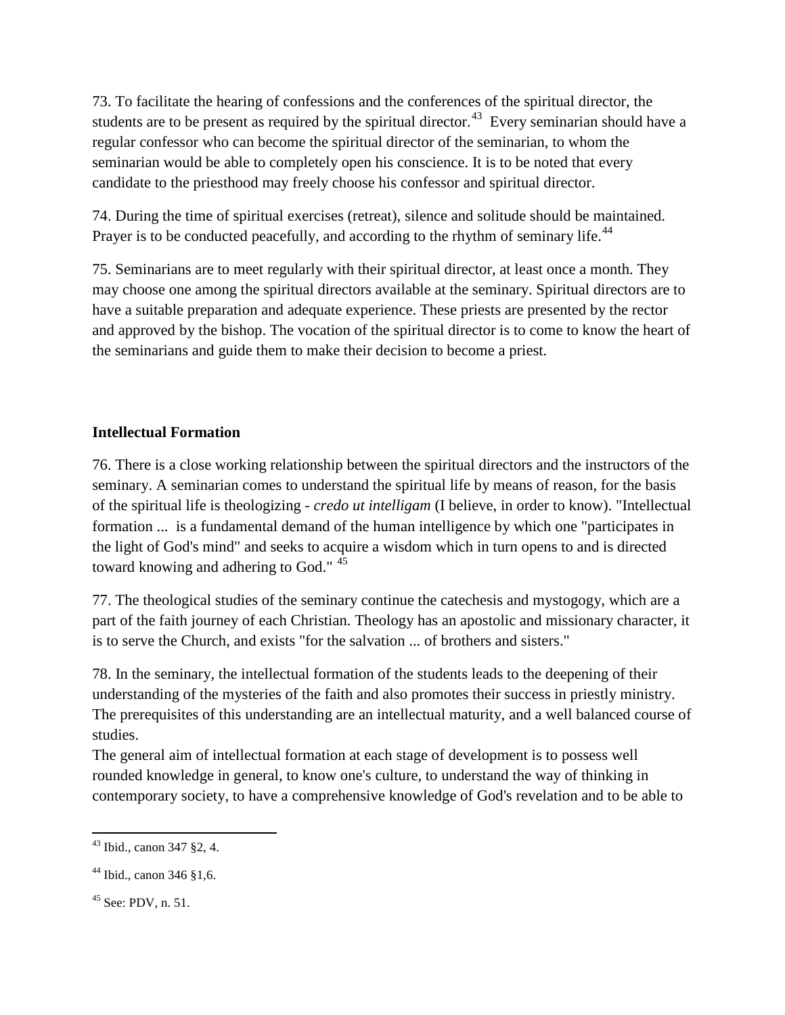73. To facilitate the hearing of confessions and the conferences of the spiritual director, the students are to be present as required by the spiritual director.<sup>[43](#page-29-0)</sup> Every seminarian should have a regular confessor who can become the spiritual director of the seminarian, to whom the seminarian would be able to completely open his conscience. It is to be noted that every candidate to the priesthood may freely choose his confessor and spiritual director.

74. During the time of spiritual exercises (retreat), silence and solitude should be maintained. Prayer is to be conducted peacefully, and according to the rhythm of seminary life.<sup>[44](#page-29-1)</sup>

75. Seminarians are to meet regularly with their spiritual director, at least once a month. They may choose one among the spiritual directors available at the seminary. Spiritual directors are to have a suitable preparation and adequate experience. These priests are presented by the rector and approved by the bishop. The vocation of the spiritual director is to come to know the heart of the seminarians and guide them to make their decision to become a priest.

# **Intellectual Formation**

76. There is a close working relationship between the spiritual directors and the instructors of the seminary. A seminarian comes to understand the spiritual life by means of reason, for the basis of the spiritual life is theologizing - *credo ut intelligam* (I believe, in order to know). "Intellectual formation ... is a fundamental demand of the human intelligence by which one "participates in the light of God's mind" and seeks to acquire a wisdom which in turn opens to and is directed toward knowing and adhering to God." <sup>[45](#page-29-2)</sup>

77. The theological studies of the seminary continue the catechesis and mystogogy, which are a part of the faith journey of each Christian. Theology has an apostolic and missionary character, it is to serve the Church, and exists "for the salvation ... of brothers and sisters."

78. In the seminary, the intellectual formation of the students leads to the deepening of their understanding of the mysteries of the faith and also promotes their success in priestly ministry. The prerequisites of this understanding are an intellectual maturity, and a well balanced course of studies.

The general aim of intellectual formation at each stage of development is to possess well rounded knowledge in general, to know one's culture, to understand the way of thinking in contemporary society, to have a comprehensive knowledge of God's revelation and to be able to

<span id="page-29-0"></span> $\overline{\phantom{a}}$ <sup>43</sup> Ibid., canon 347 §2, 4.

<span id="page-29-1"></span><sup>44</sup> Ibid., canon 346 §1,6.

<span id="page-29-2"></span><sup>45</sup> See: PDV, n. 51.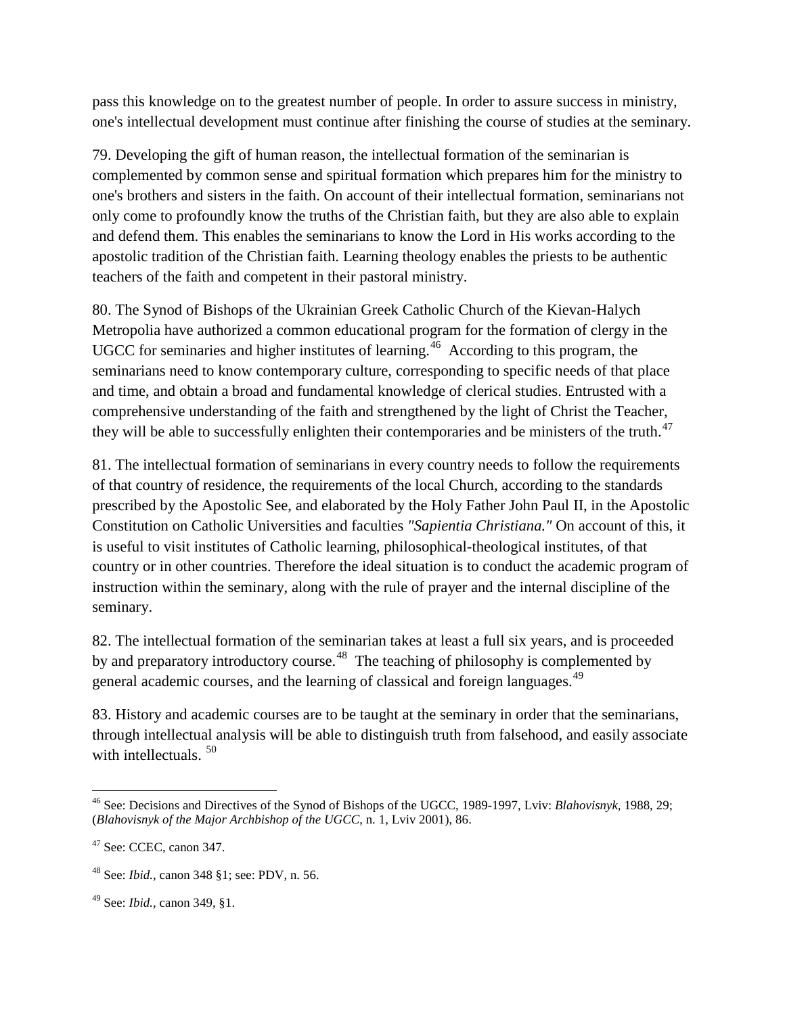pass this knowledge on to the greatest number of people. In order to assure success in ministry, one's intellectual development must continue after finishing the course of studies at the seminary.

79. Developing the gift of human reason, the intellectual formation of the seminarian is complemented by common sense and spiritual formation which prepares him for the ministry to one's brothers and sisters in the faith. On account of their intellectual formation, seminarians not only come to profoundly know the truths of the Christian faith, but they are also able to explain and defend them. This enables the seminarians to know the Lord in His works according to the apostolic tradition of the Christian faith. Learning theology enables the priests to be authentic teachers of the faith and competent in their pastoral ministry.

80. The Synod of Bishops of the Ukrainian Greek Catholic Church of the Kievan-Halych Metropolia have authorized a common educational program for the formation of clergy in the UGCC for seminaries and higher institutes of learning.<sup>[46](#page-30-0)</sup> According to this program, the seminarians need to know contemporary culture, corresponding to specific needs of that place and time, and obtain a broad and fundamental knowledge of clerical studies. Entrusted with a comprehensive understanding of the faith and strengthened by the light of Christ the Teacher, they will be able to successfully enlighten their contemporaries and be ministers of the truth.<sup>[47](#page-30-1)</sup>

81. The intellectual formation of seminarians in every country needs to follow the requirements of that country of residence, the requirements of the local Church, according to the standards prescribed by the Apostolic See, and elaborated by the Holy Father John Paul II, in the Apostolic Constitution on Catholic Universities and faculties *"Sapientia Christiana."* On account of this, it is useful to visit institutes of Catholic learning, philosophical-theological institutes, of that country or in other countries. Therefore the ideal situation is to conduct the academic program of instruction within the seminary, along with the rule of prayer and the internal discipline of the seminary.

82. The intellectual formation of the seminarian takes at least a full six years, and is proceeded by and preparatory introductory course.<sup>48</sup> The teaching of philosophy is complemented by general academic courses, and the learning of classical and foreign languages.<sup>[49](#page-30-3)</sup>

83. History and academic courses are to be taught at the seminary in order that the seminarians, through intellectual analysis will be able to distinguish truth from falsehood, and easily associate with intellectuals.<sup>[50](#page-30-4)</sup>

<span id="page-30-4"></span><span id="page-30-0"></span><sup>46</sup> See: Decisions and Directives of the Synod of Bishops of the UGCC, 1989-1997, Lviv: *Blahovisnyk,* 1988, 29; (*Blahovisnyk of the Major Archbishop of the UGCC*, n. 1, Lviv 2001), 86.

<span id="page-30-1"></span><sup>47</sup> See: CCEC, canon 347.

<span id="page-30-2"></span><sup>48</sup> See: *Ibid.,* canon 348 §1; see: PDV, n. 56.

<span id="page-30-3"></span><sup>49</sup> See: *Ibid.,* canon 349, §1.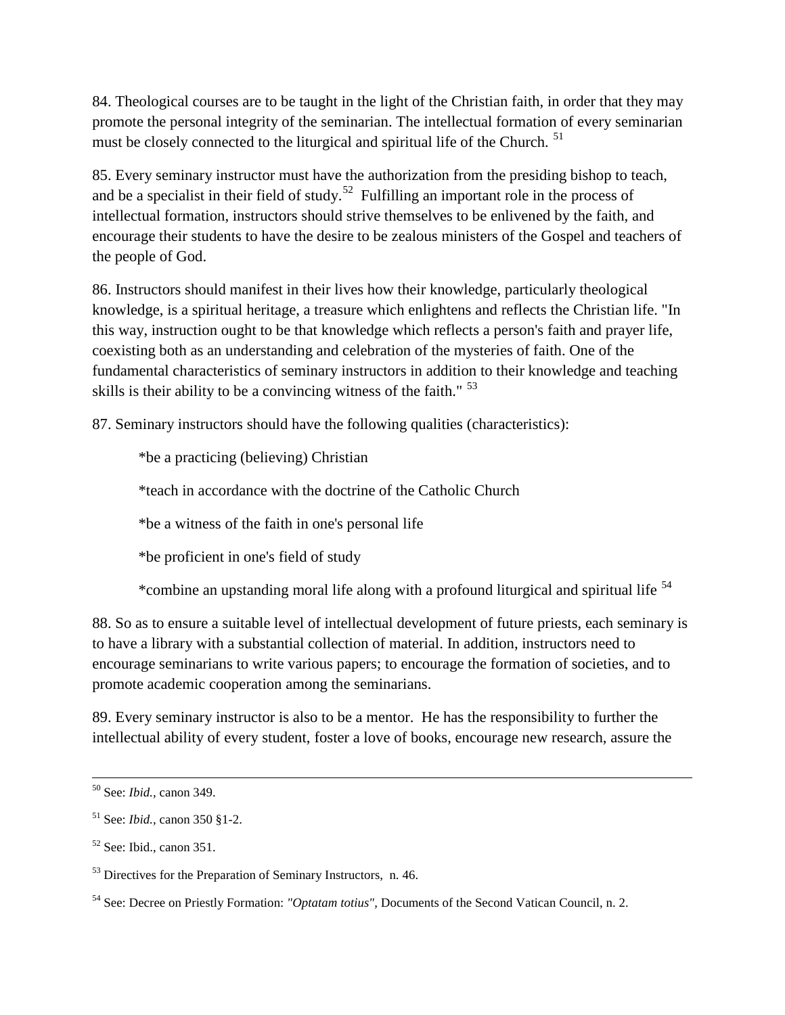84. Theological courses are to be taught in the light of the Christian faith, in order that they may promote the personal integrity of the seminarian. The intellectual formation of every seminarian must be closely connected to the liturgical and spiritual life of the Church.<sup>[51](#page-31-0)</sup>

85. Every seminary instructor must have the authorization from the presiding bishop to teach, and be a specialist in their field of study.<sup>[52](#page-31-1)</sup> Fulfilling an important role in the process of intellectual formation, instructors should strive themselves to be enlivened by the faith, and encourage their students to have the desire to be zealous ministers of the Gospel and teachers of the people of God.

86. Instructors should manifest in their lives how their knowledge, particularly theological knowledge, is a spiritual heritage, a treasure which enlightens and reflects the Christian life. "In this way, instruction ought to be that knowledge which reflects a person's faith and prayer life, coexisting both as an understanding and celebration of the mysteries of faith. One of the fundamental characteristics of seminary instructors in addition to their knowledge and teaching skills is their ability to be a convincing witness of the faith." <sup>[53](#page-31-2)</sup>

87. Seminary instructors should have the following qualities (characteristics):

\*be a practicing (believing) Christian

\*teach in accordance with the doctrine of the Catholic Church

\*be a witness of the faith in one's personal life

\*be proficient in one's field of study

\*combine an upstanding moral life along with a profound liturgical and spiritual life [54](#page-31-3)

88. So as to ensure a suitable level of intellectual development of future priests, each seminary is to have a library with a substantial collection of material. In addition, instructors need to encourage seminarians to write various papers; to encourage the formation of societies, and to promote academic cooperation among the seminarians.

89. Every seminary instructor is also to be a mentor. He has the responsibility to further the intellectual ability of every student, foster a love of books, encourage new research, assure the

l

<sup>50</sup> See: *Ibid.,* canon 349.

<span id="page-31-0"></span><sup>51</sup> See: *Ibid.,* canon 350 §1-2.

<span id="page-31-1"></span><sup>52</sup> See: Ibid., canon 351.

<span id="page-31-2"></span><sup>&</sup>lt;sup>53</sup> Directives for the Preparation of Seminary Instructors, n. 46.

<span id="page-31-3"></span><sup>54</sup> See: Decree on Priestly Formation: *"Optatam totius",* Documents of the Second Vatican Council, n. 2.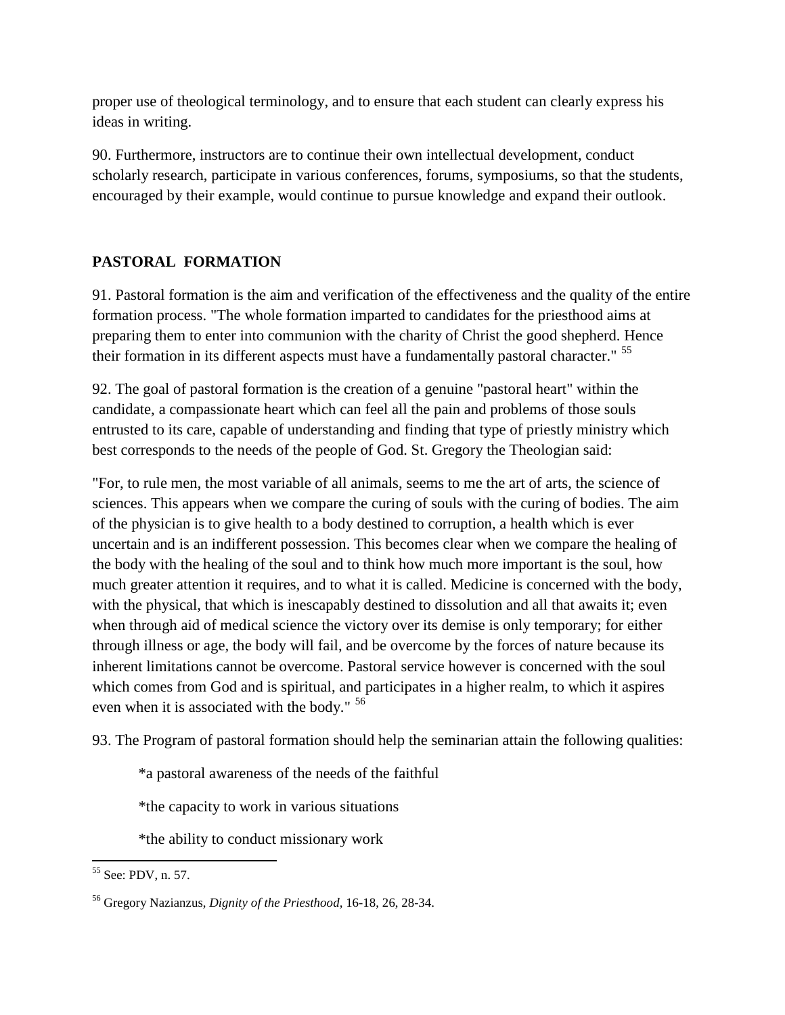proper use of theological terminology, and to ensure that each student can clearly express his ideas in writing.

90. Furthermore, instructors are to continue their own intellectual development, conduct scholarly research, participate in various conferences, forums, symposiums, so that the students, encouraged by their example, would continue to pursue knowledge and expand their outlook.

# **PASTORAL FORMATION**

91. Pastoral formation is the aim and verification of the effectiveness and the quality of the entire formation process. "The whole formation imparted to candidates for the priesthood aims at preparing them to enter into communion with the charity of Christ the good shepherd. Hence their formation in its different aspects must have a fundamentally pastoral character." <sup>[55](#page-32-0)</sup>

92. The goal of pastoral formation is the creation of a genuine "pastoral heart" within the candidate, a compassionate heart which can feel all the pain and problems of those souls entrusted to its care, capable of understanding and finding that type of priestly ministry which best corresponds to the needs of the people of God. St. Gregory the Theologian said:

"For, to rule men, the most variable of all animals, seems to me the art of arts, the science of sciences. This appears when we compare the curing of souls with the curing of bodies. The aim of the physician is to give health to a body destined to corruption, a health which is ever uncertain and is an indifferent possession. This becomes clear when we compare the healing of the body with the healing of the soul and to think how much more important is the soul, how much greater attention it requires, and to what it is called. Medicine is concerned with the body, with the physical, that which is inescapably destined to dissolution and all that awaits it; even when through aid of medical science the victory over its demise is only temporary; for either through illness or age, the body will fail, and be overcome by the forces of nature because its inherent limitations cannot be overcome. Pastoral service however is concerned with the soul which comes from God and is spiritual, and participates in a higher realm, to which it aspires even when it is associated with the body." [56](#page-32-1)

93. The Program of pastoral formation should help the seminarian attain the following qualities:

\*a pastoral awareness of the needs of the faithful

\*the capacity to work in various situations

\*the ability to conduct missionary work

<span id="page-32-0"></span>l <sup>55</sup> See: PDV, n. 57.

<span id="page-32-1"></span><sup>56</sup> Gregory Nazianzus, *Dignity of the Priesthood,* 16-18, 26, 28-34.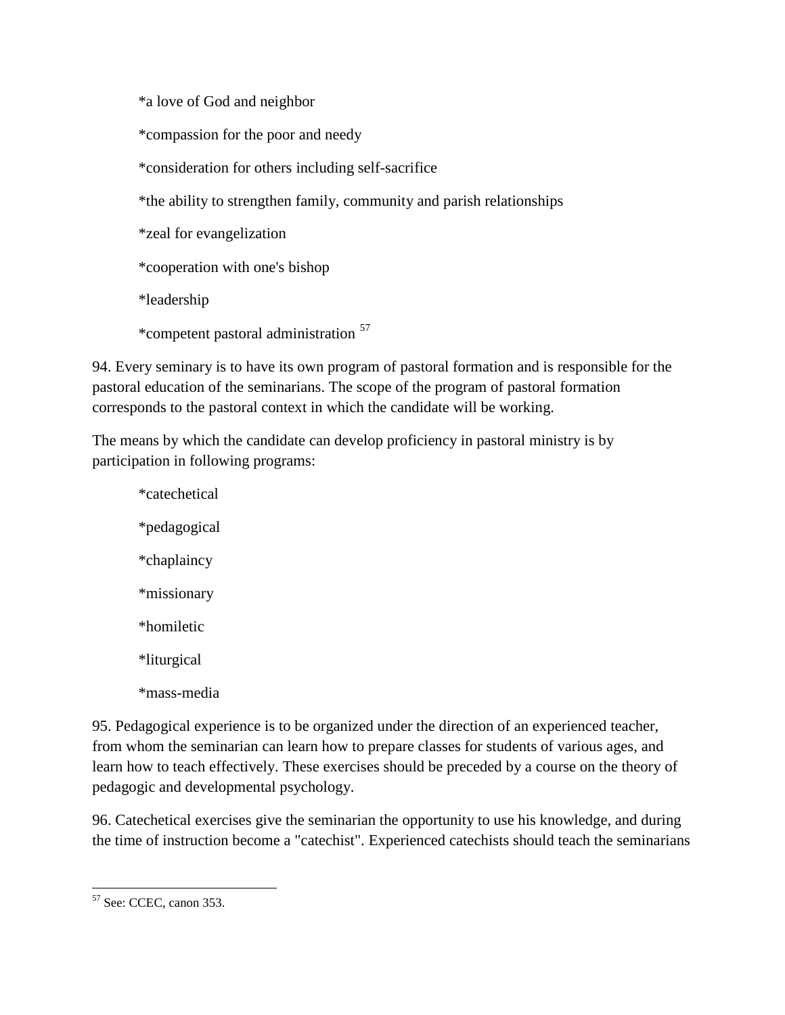\*a love of God and neighbor

\*compassion for the poor and needy

\*consideration for others including self-sacrifice

\*the ability to strengthen family, community and parish relationships

\*zeal for evangelization

\*cooperation with one's bishop

\*leadership

\*competent pastoral administration [57](#page-33-0)

94. Every seminary is to have its own program of pastoral formation and is responsible for the pastoral education of the seminarians. The scope of the program of pastoral formation corresponds to the pastoral context in which the candidate will be working.

The means by which the candidate can develop proficiency in pastoral ministry is by participation in following programs:

\*catechetical \*pedagogical \*chaplaincy \*missionary \*homiletic \*liturgical \*mass-media

95. Pedagogical experience is to be organized under the direction of an experienced teacher, from whom the seminarian can learn how to prepare classes for students of various ages, and learn how to teach effectively. These exercises should be preceded by a course on the theory of pedagogic and developmental psychology.

96. Catechetical exercises give the seminarian the opportunity to use his knowledge, and during the time of instruction become a "catechist". Experienced catechists should teach the seminarians

<span id="page-33-0"></span> $\overline{\phantom{a}}$ <sup>57</sup> See: CCEC, canon 353.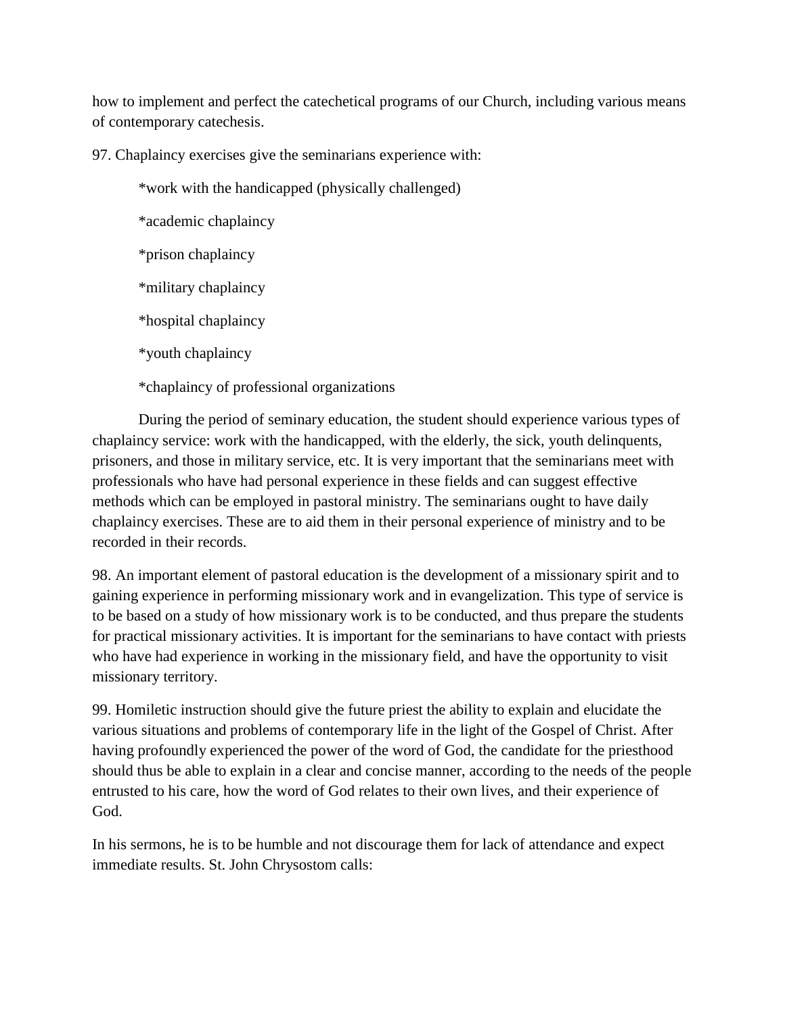how to implement and perfect the catechetical programs of our Church, including various means of contemporary catechesis.

97. Chaplaincy exercises give the seminarians experience with:

\*work with the handicapped (physically challenged)

\*academic chaplaincy

\*prison chaplaincy

\*military chaplaincy

\*hospital chaplaincy

\*youth chaplaincy

\*chaplaincy of professional organizations

During the period of seminary education, the student should experience various types of chaplaincy service: work with the handicapped, with the elderly, the sick, youth delinquents, prisoners, and those in military service, etc. It is very important that the seminarians meet with professionals who have had personal experience in these fields and can suggest effective methods which can be employed in pastoral ministry. The seminarians ought to have daily chaplaincy exercises. These are to aid them in their personal experience of ministry and to be recorded in their records.

98. An important element of pastoral education is the development of a missionary spirit and to gaining experience in performing missionary work and in evangelization. This type of service is to be based on a study of how missionary work is to be conducted, and thus prepare the students for practical missionary activities. It is important for the seminarians to have contact with priests who have had experience in working in the missionary field, and have the opportunity to visit missionary territory.

99. Homiletic instruction should give the future priest the ability to explain and elucidate the various situations and problems of contemporary life in the light of the Gospel of Christ. After having profoundly experienced the power of the word of God, the candidate for the priesthood should thus be able to explain in a clear and concise manner, according to the needs of the people entrusted to his care, how the word of God relates to their own lives, and their experience of God.

In his sermons, he is to be humble and not discourage them for lack of attendance and expect immediate results. St. John Chrysostom calls: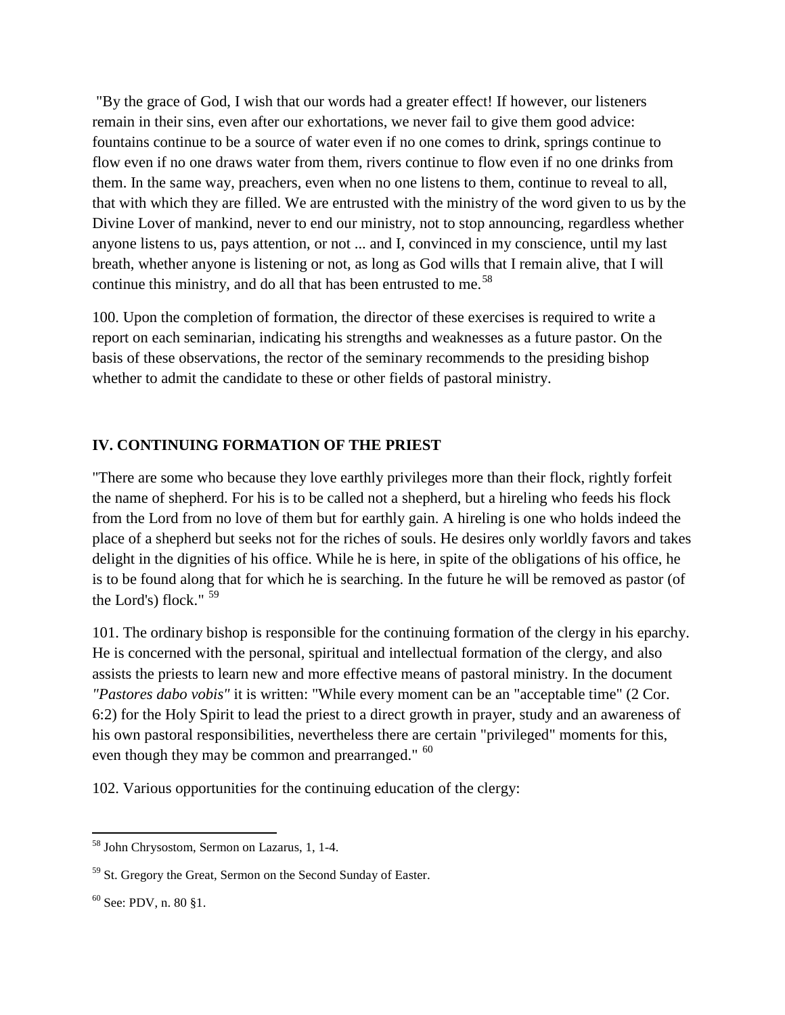"By the grace of God, I wish that our words had a greater effect! If however, our listeners remain in their sins, even after our exhortations, we never fail to give them good advice: fountains continue to be a source of water even if no one comes to drink, springs continue to flow even if no one draws water from them, rivers continue to flow even if no one drinks from them. In the same way, preachers, even when no one listens to them, continue to reveal to all, that with which they are filled. We are entrusted with the ministry of the word given to us by the Divine Lover of mankind, never to end our ministry, not to stop announcing, regardless whether anyone listens to us, pays attention, or not ... and I, convinced in my conscience, until my last breath, whether anyone is listening or not, as long as God wills that I remain alive, that I will continue this ministry, and do all that has been entrusted to me.<sup>[58](#page-35-0)</sup>

100. Upon the completion of formation, the director of these exercises is required to write a report on each seminarian, indicating his strengths and weaknesses as a future pastor. On the basis of these observations, the rector of the seminary recommends to the presiding bishop whether to admit the candidate to these or other fields of pastoral ministry.

# **IV. CONTINUING FORMATION OF THE PRIEST**

"There are some who because they love earthly privileges more than their flock, rightly forfeit the name of shepherd. For his is to be called not a shepherd, but a hireling who feeds his flock from the Lord from no love of them but for earthly gain. A hireling is one who holds indeed the place of a shepherd but seeks not for the riches of souls. He desires only worldly favors and takes delight in the dignities of his office. While he is here, in spite of the obligations of his office, he is to be found along that for which he is searching. In the future he will be removed as pastor (of the Lord's) flock." <sup>[59](#page-35-1)</sup>

101. The ordinary bishop is responsible for the continuing formation of the clergy in his eparchy. He is concerned with the personal, spiritual and intellectual formation of the clergy, and also assists the priests to learn new and more effective means of pastoral ministry. In the document *"Pastores dabo vobis"* it is written: "While every moment can be an "acceptable time" (2 Cor. 6:2) for the Holy Spirit to lead the priest to a direct growth in prayer, study and an awareness of his own pastoral responsibilities, nevertheless there are certain "privileged" moments for this, even though they may be common and prearranged." <sup>[60](#page-35-2)</sup>

102. Various opportunities for the continuing education of the clergy:

<span id="page-35-0"></span> $\overline{\phantom{a}}$ <sup>58</sup> John Chrysostom, Sermon on Lazarus, 1, 1-4.

<span id="page-35-1"></span><sup>&</sup>lt;sup>59</sup> St. Gregory the Great, Sermon on the Second Sunday of Easter.

<span id="page-35-2"></span> $60$  See: PDV, n. 80 §1.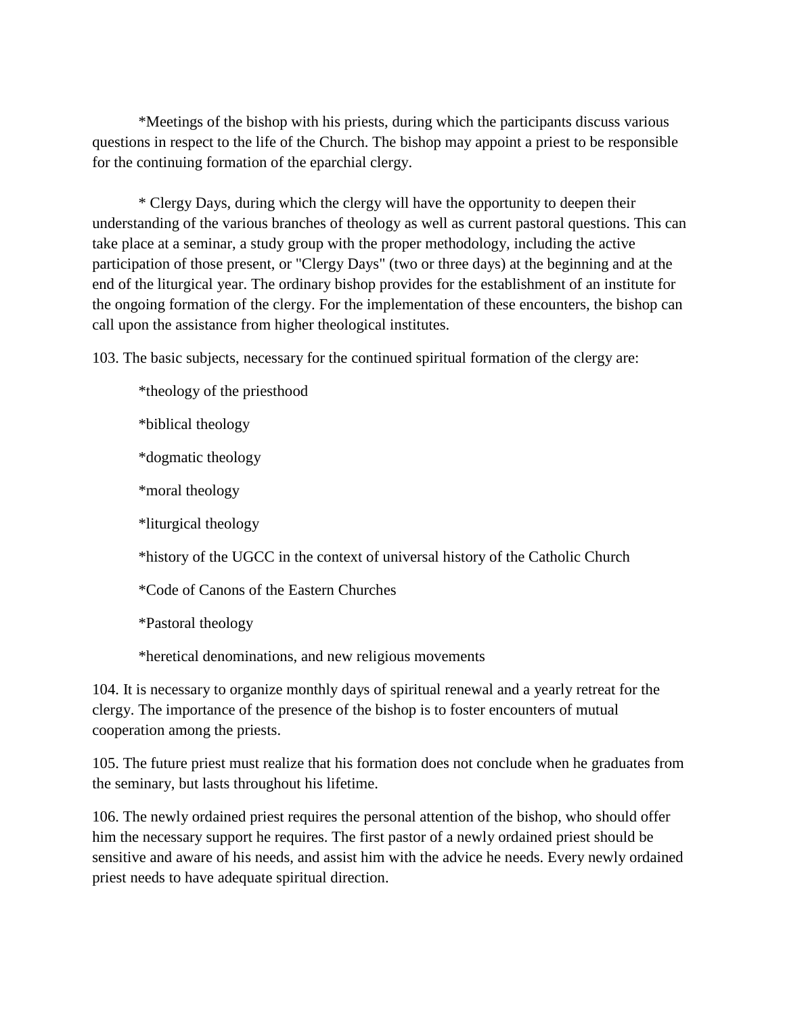\*Meetings of the bishop with his priests, during which the participants discuss various questions in respect to the life of the Church. The bishop may appoint a priest to be responsible for the continuing formation of the eparchial clergy.

\* Clergy Days, during which the clergy will have the opportunity to deepen their understanding of the various branches of theology as well as current pastoral questions. This can take place at a seminar, a study group with the proper methodology, including the active participation of those present, or "Clergy Days" (two or three days) at the beginning and at the end of the liturgical year. The ordinary bishop provides for the establishment of an institute for the ongoing formation of the clergy. For the implementation of these encounters, the bishop can call upon the assistance from higher theological institutes.

103. The basic subjects, necessary for the continued spiritual formation of the clergy are:

- \*theology of the priesthood
- \*biblical theology
- \*dogmatic theology
- \*moral theology
- \*liturgical theology

\*history of the UGCC in the context of universal history of the Catholic Church

\*Code of Canons of the Eastern Churches

\*Pastoral theology

\*heretical denominations, and new religious movements

104. It is necessary to organize monthly days of spiritual renewal and a yearly retreat for the clergy. The importance of the presence of the bishop is to foster encounters of mutual cooperation among the priests.

105. The future priest must realize that his formation does not conclude when he graduates from the seminary, but lasts throughout his lifetime.

106. The newly ordained priest requires the personal attention of the bishop, who should offer him the necessary support he requires. The first pastor of a newly ordained priest should be sensitive and aware of his needs, and assist him with the advice he needs. Every newly ordained priest needs to have adequate spiritual direction.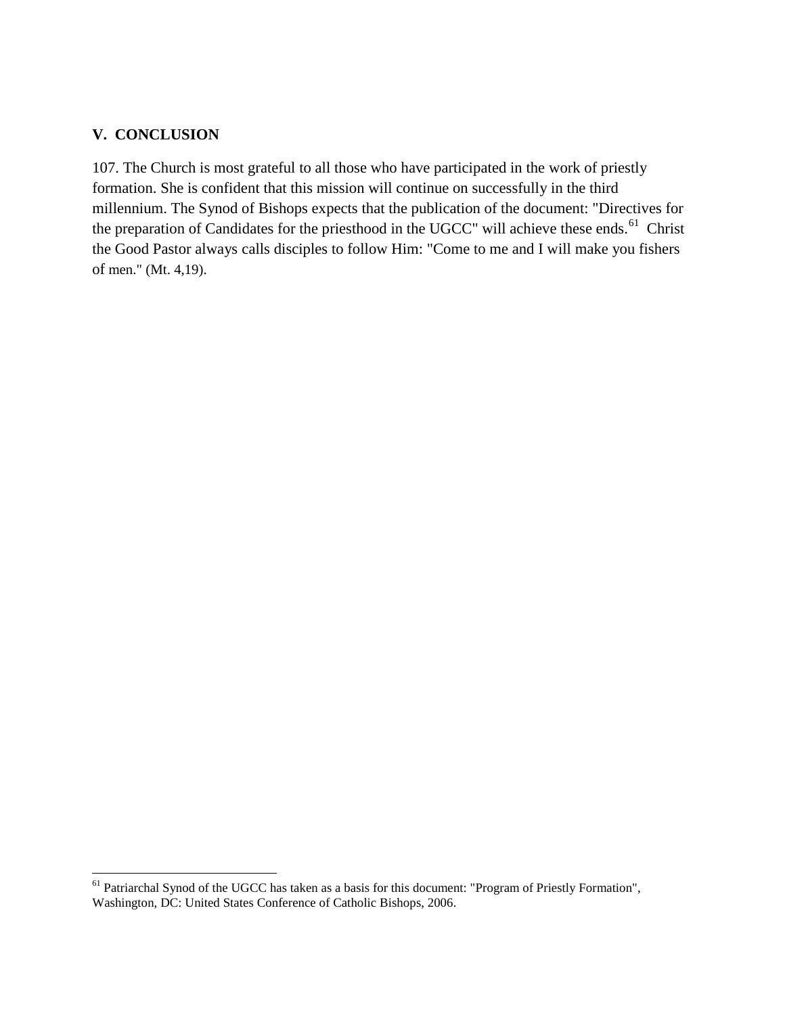# **V. CONCLUSION**

107. The Church is most grateful to all those who have participated in the work of priestly formation. She is confident that this mission will continue on successfully in the third millennium. The Synod of Bishops expects that the publication of the document: "Directives for the preparation of Candidates for the priesthood in the UGCC" will achieve these ends.<sup>61</sup> Christ the Good Pastor always calls disciples to follow Him: "Come to me and I will make you fishers of men." (Mt. 4,19).

<span id="page-37-0"></span><sup>61</sup> Patriarchal Synod of the UGCC has taken as a basis for this document: "Program of Priestly Formation", Washington, DC: United States Conference of Catholic Bishops, 2006.